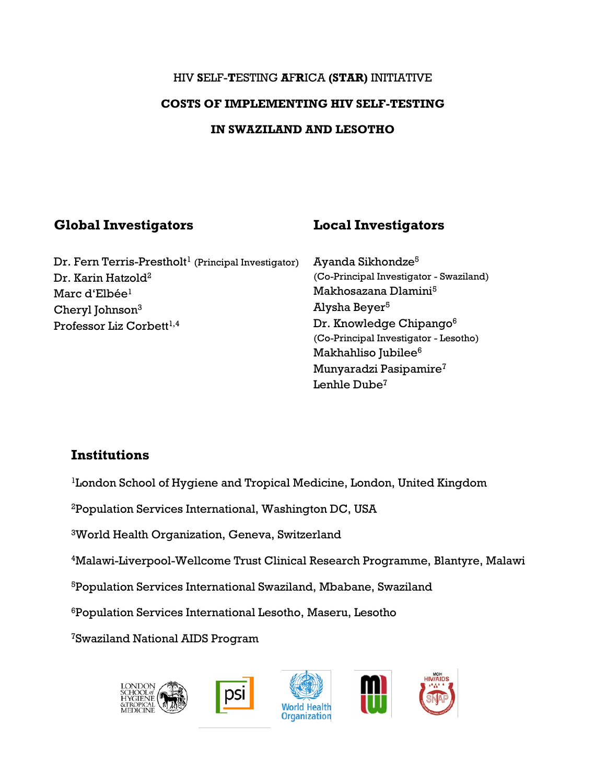# HIV **S**ELF-**T**ESTING **A**F**R**ICA **(STAR)** INITIATIVE **COSTS OF IMPLEMENTING HIV SELF-TESTING IN SWAZILAND AND LESOTHO**

# **Global Investigators Local Investigators**

 $Dr.$  Fern Terris-Prestholt $^1$  (Principal Investigator) Dr. Karin Hatzold<sup>2</sup> Marc d'Elbée<sup>1</sup> Cheryl Johnson<sup>3</sup> Professor Liz Corbett<sup>1,4</sup>

Ayanda Sikhondze<sup>5</sup> (Co-Principal Investigator - Swaziland) Makhosazana Dlamini<sup>5</sup> Alysha Beyer<sup>5</sup> Dr. Knowledge Chipango<sup>6</sup> (Co-Principal Investigator - Lesotho) Makhahliso Jubilee<sup>6</sup> Munyaradzi Pasipamire<sup>7</sup> Lenhle Dube<sup>7</sup>

# **Institutions**

<sup>1</sup>London School of Hygiene and Tropical Medicine, London, United Kingdom

<sup>2</sup>Population Services International, Washington DC, USA

<sup>3</sup>World Health Organization, Geneva, Switzerland

<sup>4</sup>Malawi-Liverpool-Wellcome Trust Clinical Research Programme, Blantyre, Malawi

<sup>5</sup>Population Services International Swaziland, Mbabane, Swaziland

<sup>6</sup>Population Services International Lesotho, Maseru, Lesotho

7Swaziland National AIDS Program

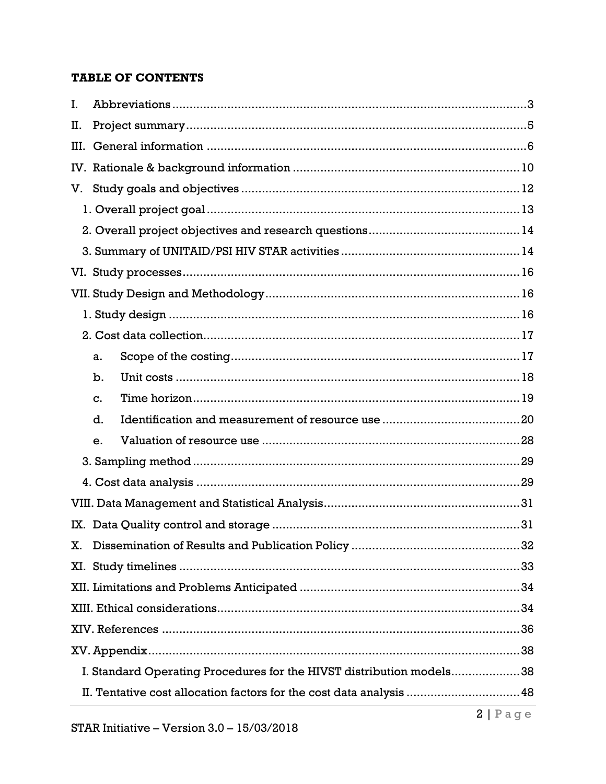#### **TABLE OF CONTENTS**

| L.   |                                                                      |  |
|------|----------------------------------------------------------------------|--|
| П.   |                                                                      |  |
| III. |                                                                      |  |
|      |                                                                      |  |
| V.   |                                                                      |  |
|      |                                                                      |  |
|      |                                                                      |  |
|      |                                                                      |  |
|      |                                                                      |  |
|      |                                                                      |  |
|      |                                                                      |  |
|      |                                                                      |  |
|      | a.                                                                   |  |
|      | b.                                                                   |  |
|      | c.                                                                   |  |
|      | d.                                                                   |  |
|      | е.                                                                   |  |
|      |                                                                      |  |
|      |                                                                      |  |
|      |                                                                      |  |
|      |                                                                      |  |
| Х.   |                                                                      |  |
|      |                                                                      |  |
|      |                                                                      |  |
|      |                                                                      |  |
|      |                                                                      |  |
|      |                                                                      |  |
|      | I. Standard Operating Procedures for the HIVST distribution models38 |  |
|      | II. Tentative cost allocation factors for the cost data analysis  48 |  |
|      |                                                                      |  |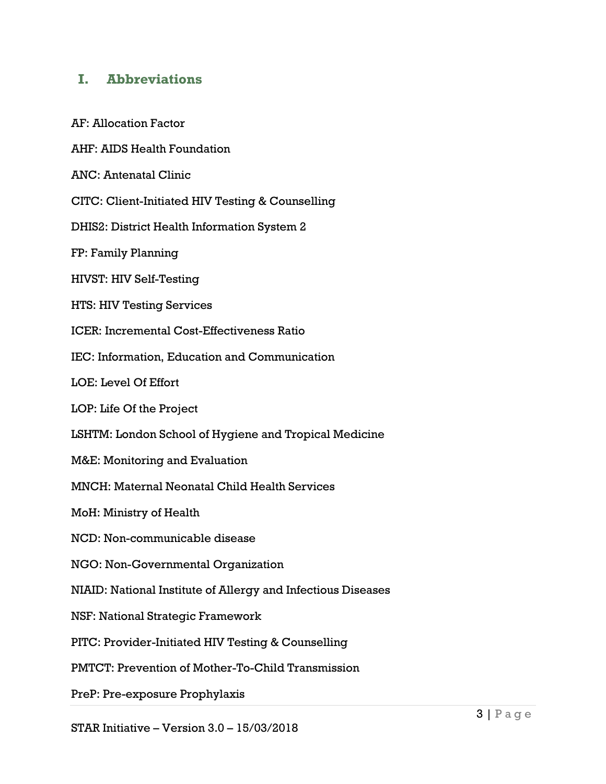# <span id="page-2-0"></span>**I. Abbreviations**

AF: Allocation Factor

AHF: AIDS Health Foundation

ANC: Antenatal Clinic

CITC: Client-Initiated HIV Testing & Counselling

DHIS2: District Health Information System 2

FP: Family Planning

HIVST: HIV Self-Testing

HTS: HIV Testing Services

ICER: Incremental Cost-Effectiveness Ratio

IEC: Information, Education and Communication

LOE: Level Of Effort

LOP: Life Of the Project

LSHTM: London School of Hygiene and Tropical Medicine

M&E: Monitoring and Evaluation

MNCH: Maternal Neonatal Child Health Services

MoH: Ministry of Health

NCD: Non-communicable disease

NGO: Non-Governmental Organization

NIAID: National Institute of Allergy and Infectious Diseases

NSF: National Strategic Framework

PITC: Provider-Initiated HIV Testing & Counselling

PMTCT: Prevention of Mother-To-Child Transmission

PreP: Pre-exposure Prophylaxis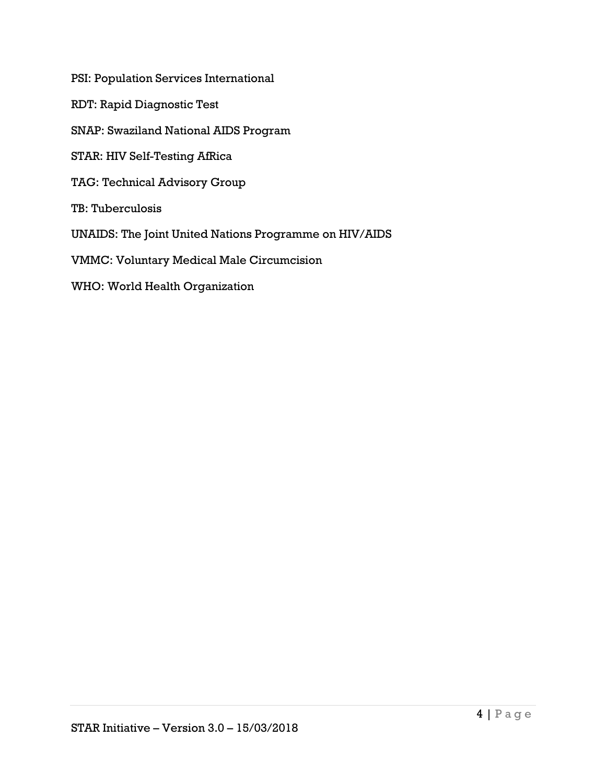PSI: Population Services International

RDT: Rapid Diagnostic Test

SNAP: Swaziland National AIDS Program

STAR: HIV Self-Testing AfRica

TAG: Technical Advisory Group

TB: Tuberculosis

UNAIDS: The Joint United Nations Programme on HIV/AIDS

VMMC: Voluntary Medical Male Circumcision

WHO: World Health Organization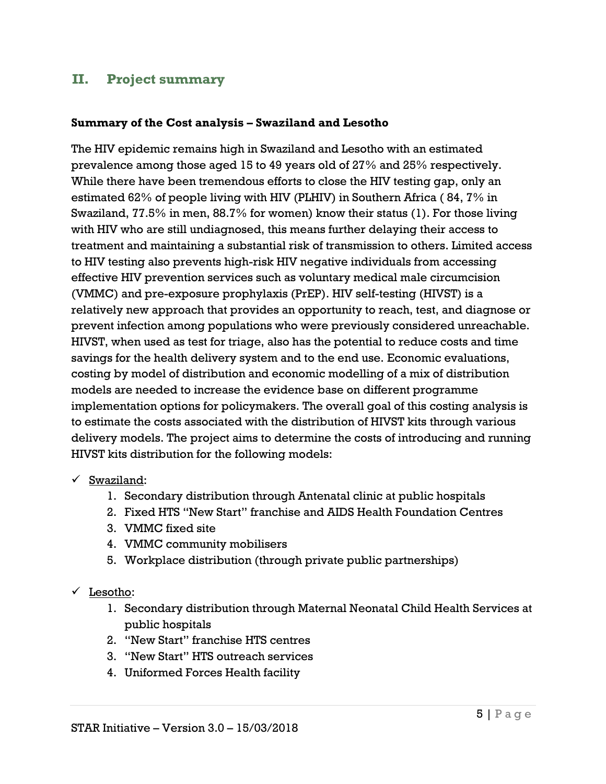# <span id="page-4-0"></span>**II. Project summary**

#### **Summary of the Cost analysis – Swaziland and Lesotho**

The HIV epidemic remains high in Swaziland and Lesotho with an estimated prevalence among those aged 15 to 49 years old of 27% and 25% respectively. While there have been tremendous efforts to close the HIV testing gap, only an estimated 62% of people living with HIV (PLHIV) in Southern Africa ( 84, 7% in Swaziland, 77.5% in men, 88.7% for women) know their status [\(1\)](#page-35-1). For those living with HIV who are still undiagnosed, this means further delaying their access to treatment and maintaining a substantial risk of transmission to others. Limited access to HIV testing also prevents high-risk HIV negative individuals from accessing effective HIV prevention services such as voluntary medical male circumcision (VMMC) and pre-exposure prophylaxis (PrEP). HIV self-testing (HIVST) is a relatively new approach that provides an opportunity to reach, test, and diagnose or prevent infection among populations who were previously considered unreachable. HIVST, when used as test for triage, also has the potential to reduce costs and time savings for the health delivery system and to the end use. Economic evaluations, costing by model of distribution and economic modelling of a mix of distribution models are needed to increase the evidence base on different programme implementation options for policymakers. The overall goal of this costing analysis is to estimate the costs associated with the distribution of HIVST kits through various delivery models. The project aims to determine the costs of introducing and running HIVST kits distribution for the following models:

- $\checkmark$  Swaziland:
	- 1. Secondary distribution through Antenatal clinic at public hospitals
	- 2. Fixed HTS "New Start" franchise and AIDS Health Foundation Centres
	- 3. VMMC fixed site
	- 4. VMMC community mobilisers
	- 5. Workplace distribution (through private public partnerships)
- $\checkmark$  Lesotho:
	- 1. Secondary distribution through Maternal Neonatal Child Health Services at public hospitals
	- 2. "New Start" franchise HTS centres
	- 3. "New Start" HTS outreach services
	- 4. Uniformed Forces Health facility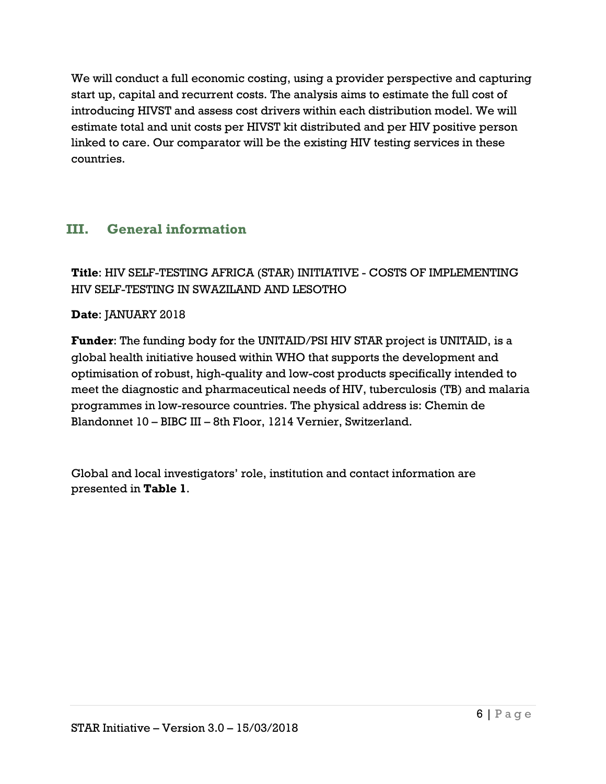We will conduct a full economic costing, using a provider perspective and capturing start up, capital and recurrent costs. The analysis aims to estimate the full cost of introducing HIVST and assess cost drivers within each distribution model. We will estimate total and unit costs per HIVST kit distributed and per HIV positive person linked to care. Our comparator will be the existing HIV testing services in these countries.

# <span id="page-5-0"></span>**III. General information**

# **Title**: HIV SELF-TESTING AFRICA (STAR) INITIATIVE - COSTS OF IMPLEMENTING HIV SELF-TESTING IN SWAZILAND AND LESOTHO

### **Date**: JANUARY 2018

**Funder**: The funding body for the UNITAID/PSI HIV STAR project is UNITAID, is a global health initiative housed within WHO that supports the development and optimisation of robust, high-quality and low-cost products specifically intended to meet the diagnostic and pharmaceutical needs of HIV, tuberculosis (TB) and malaria programmes in low-resource countries. The physical address is: Chemin de Blandonnet 10 – BIBC III – 8th Floor, 1214 Vernier, Switzerland.

Global and local investigators' role, institution and contact information are presented in **Table 1**.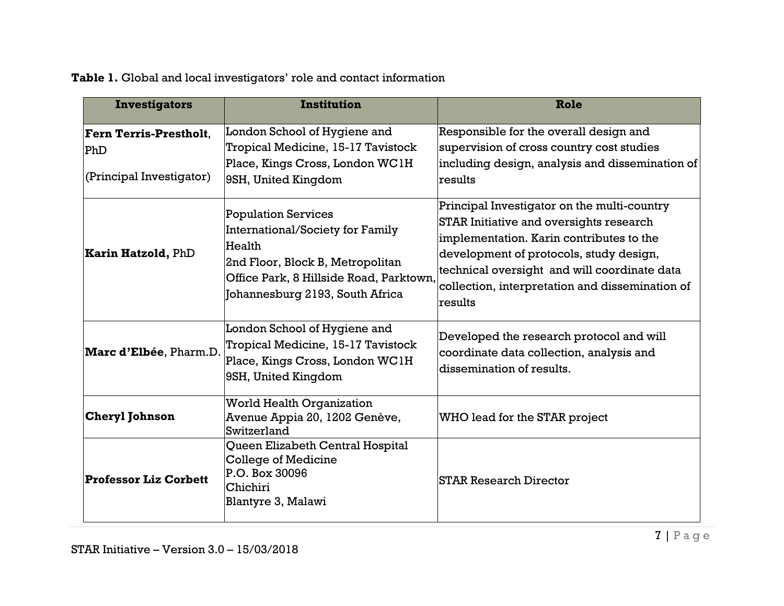# **Table 1.** Global and local investigators' role and contact information

| <b>Investigators</b>                                                | <b>Institution</b>                                                                                                                                                                         | Role                                                                                                                                                                                                                                                                                        |
|---------------------------------------------------------------------|--------------------------------------------------------------------------------------------------------------------------------------------------------------------------------------------|---------------------------------------------------------------------------------------------------------------------------------------------------------------------------------------------------------------------------------------------------------------------------------------------|
| Fern Terris-Prestholt.<br>$ {\rm PhD} $<br>(Principal Investigator) | London School of Hygiene and<br>Tropical Medicine, 15-17 Tavistock<br>Place, Kings Cross, London WC1H<br>9SH, United Kingdom                                                               | Responsible for the overall design and<br>supervision of cross country cost studies<br>including design, analysis and dissemination of<br>results                                                                                                                                           |
| <b>Karin Hatzold, PhD</b>                                           | <b>Population Services</b><br>International/Society for Family<br>Health<br>2nd Floor, Block B, Metropolitan<br>Office Park, 8 Hillside Road, Parktown,<br>Johannesburg 2193, South Africa | Principal Investigator on the multi-country<br>STAR Initiative and oversights research<br>implementation. Karin contributes to the<br>development of protocols, study design,<br>technical oversight and will coordinate data<br>collection, interpretation and dissemination of<br>results |
| Marc d'Elbée, Pharm.D.                                              | London School of Hygiene and<br>Tropical Medicine, 15-17 Tavistock<br>Place, Kings Cross, London WC1H<br>9SH, United Kingdom                                                               | Developed the research protocol and will<br>coordinate data collection, analysis and<br>dissemination of results.                                                                                                                                                                           |
| <b>Cheryl Johnson</b>                                               | <b>World Health Organization</b><br>Avenue Appia 20, 1202 Genève,<br>Switzerland                                                                                                           | WHO lead for the STAR project                                                                                                                                                                                                                                                               |
| <b>Professor Liz Corbett</b>                                        | Queen Elizabeth Central Hospital<br><b>College of Medicine</b><br>P.O. Box 30096<br>Chichiri<br>Blantyre 3, Malawi                                                                         | STAR Research Director                                                                                                                                                                                                                                                                      |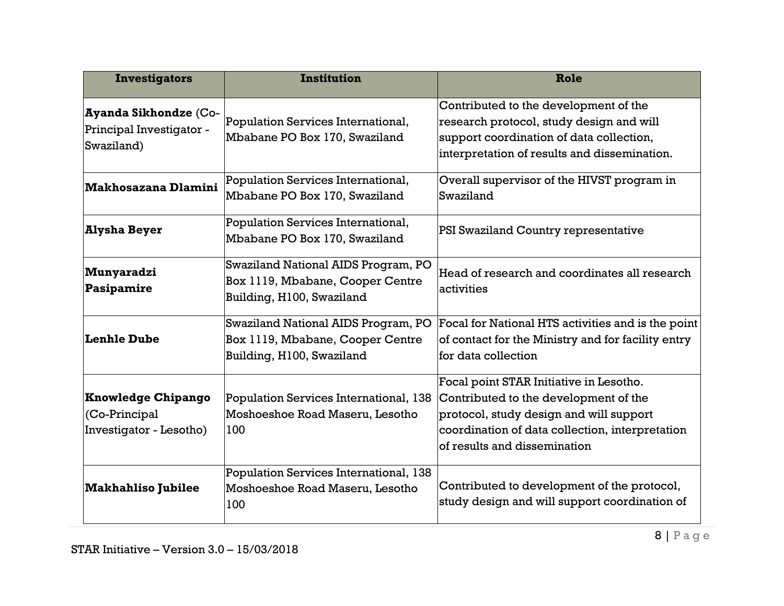| <b>Investigators</b>                                                   | <b>Institution</b>                                                                                   | Role                                                                                                                                                                                                           |
|------------------------------------------------------------------------|------------------------------------------------------------------------------------------------------|----------------------------------------------------------------------------------------------------------------------------------------------------------------------------------------------------------------|
| <b>Ayanda Sikhondze (Co-</b><br>Principal Investigator -<br>Swaziland) | Population Services International,<br>Mbabane PO Box 170, Swaziland                                  | Contributed to the development of the<br>research protocol, study design and will<br>support coordination of data collection,<br>interpretation of results and dissemination.                                  |
| <b>Makhosazana Dlamini</b>                                             | Population Services International,<br>Mbabane PO Box 170, Swaziland                                  | Overall supervisor of the HIVST program in<br>Swaziland                                                                                                                                                        |
| <b>Alysha Beyer</b>                                                    | Population Services International,<br>Mbabane PO Box 170, Swaziland                                  | PSI Swaziland Country representative                                                                                                                                                                           |
| Munyaradzi<br>Pasipamire                                               | Swaziland National AIDS Program, PO<br>Box 1119, Mbabane, Cooper Centre<br>Building, H100, Swaziland | Head of research and coordinates all research<br>activities                                                                                                                                                    |
| <b>Lenhle Dube</b>                                                     | Swaziland National AIDS Program, PO<br>Box 1119, Mbabane, Cooper Centre<br>Building, H100, Swaziland | Focal for National HTS activities and is the point<br>of contact for the Ministry and for facility entry<br>for data collection                                                                                |
| <b>Knowledge Chipango</b><br>(Co-Principal<br>Investigator - Lesotho)  | Population Services International, 138<br>Moshoeshoe Road Maseru, Lesotho<br>100                     | Focal point STAR Initiative in Lesotho.<br>Contributed to the development of the<br>protocol, study design and will support<br>coordination of data collection, interpretation<br>of results and dissemination |
| <b>Makhahliso Jubilee</b>                                              | Population Services International, 138<br>Moshoeshoe Road Maseru, Lesotho<br>100                     | Contributed to development of the protocol,<br>study design and will support coordination of                                                                                                                   |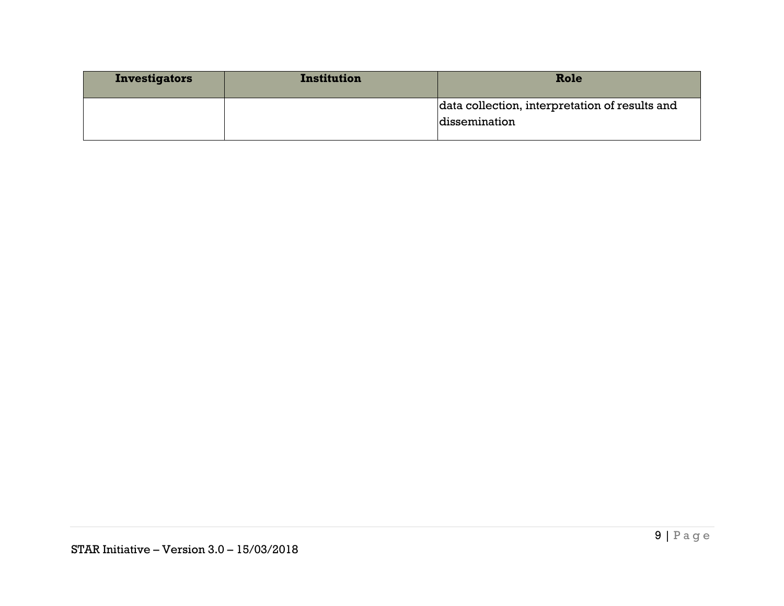| <b>Investigators</b> | Institution | Role                                           |
|----------------------|-------------|------------------------------------------------|
|                      |             | data collection, interpretation of results and |
|                      |             | dissemination                                  |
|                      |             |                                                |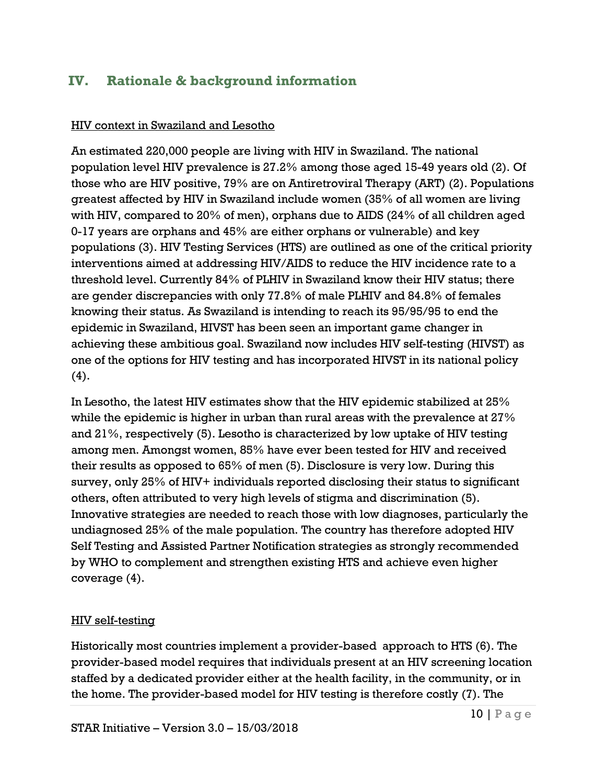# <span id="page-9-0"></span>**IV. Rationale & background information**

#### HIV context in Swaziland and Lesotho

An estimated 220,000 people are living with HIV in Swaziland. The national population level HIV prevalence is 27.2% among those aged 15-49 years old [\(2\)](#page-35-2). Of those who are HIV positive, 79% are on Antiretroviral Therapy (ART) [\(2\)](#page-35-2). Populations greatest affected by HIV in Swaziland include women (35% of all women are living with HIV, compared to 20% of men), orphans due to AIDS (24% of all children aged 0-17 years are orphans and 45% are either orphans or vulnerable) and key populations [\(3\)](#page-35-3). HIV Testing Services (HTS) are outlined as one of the critical priority interventions aimed at addressing HIV/AIDS to reduce the HIV incidence rate to a threshold level. Currently 84% of PLHIV in Swaziland know their HIV status; there are gender discrepancies with only 77.8% of male PLHIV and 84.8% of females knowing their status. As Swaziland is intending to reach its 95/95/95 to end the epidemic in Swaziland, HIVST has been seen an important game changer in achieving these ambitious goal. Swaziland now includes HIV self-testing (HIVST) as one of the options for HIV testing and has incorporated HIVST in its national policy  $(4).$  $(4).$ 

In Lesotho, the latest HIV estimates show that the HIV epidemic stabilized at 25% while the epidemic is higher in urban than rural areas with the prevalence at 27% and 21%, respectively [\(5\)](#page-35-5). Lesotho is characterized by low uptake of HIV testing among men. Amongst women, 85% have ever been tested for HIV and received their results as opposed to 65% of men [\(5\)](#page-35-5). Disclosure is very low. During this survey, only 25% of HIV+ individuals reported disclosing their status to significant others, often attributed to very high levels of stigma and discrimination [\(5\)](#page-35-5). Innovative strategies are needed to reach those with low diagnoses, particularly the undiagnosed 25% of the male population. The country has therefore adopted HIV Self Testing and Assisted Partner Notification strategies as strongly recommended by WHO to complement and strengthen existing HTS and achieve even higher coverage [\(4\)](#page-35-4).

#### HIV self-testing

Historically most countries implement a provider-based approach to HTS [\(6\)](#page-35-6). The provider-based model requires that individuals present at an HIV screening location staffed by a dedicated provider either at the health facility, in the community, or in the home. The provider-based model for HIV testing is therefore costly [\(7\)](#page-35-7). The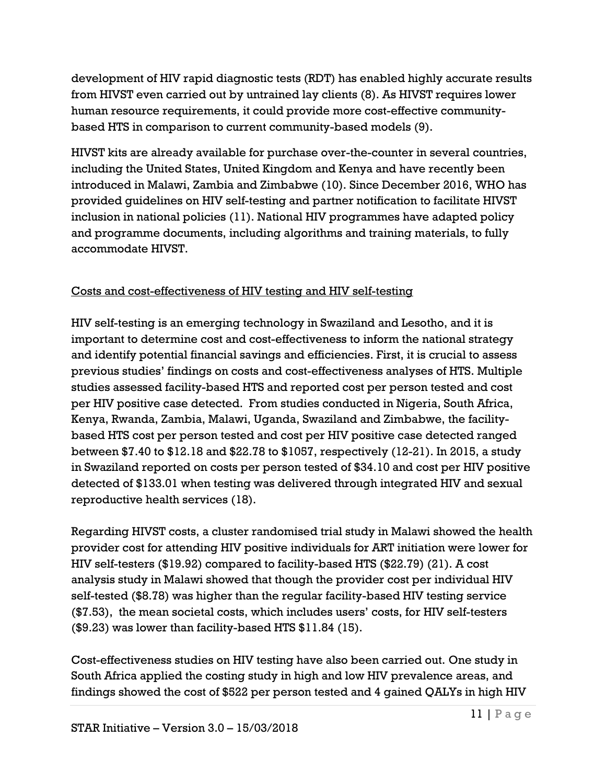development of HIV rapid diagnostic tests (RDT) has enabled highly accurate results from HIVST even carried out by untrained lay clients [\(8\)](#page-35-8). As HIVST requires lower human resource requirements, it could provide more cost-effective communitybased HTS in comparison to current community-based models [\(9\)](#page-35-9).

HIVST kits are already available for purchase over-the-counter in several countries, including the United States, United Kingdom and Kenya and have recently been introduced in Malawi, Zambia and Zimbabwe [\(10\)](#page-35-10). Since December 2016, WHO has provided guidelines on HIV self-testing and partner notification to facilitate HIVST inclusion in national policies [\(11\)](#page-35-11). National HIV programmes have adapted policy and programme documents, including algorithms and training materials, to fully accommodate HIVST.

# Costs and cost-effectiveness of HIV testing and HIV self-testing

HIV self-testing is an emerging technology in Swaziland and Lesotho, and it is important to determine cost and cost-effectiveness to inform the national strategy and identify potential financial savings and efficiencies. First, it is crucial to assess previous studies' findings on costs and cost-effectiveness analyses of HTS. Multiple studies assessed facility-based HTS and reported cost per person tested and cost per HIV positive case detected. From studies conducted in Nigeria, South Africa, Kenya, Rwanda, Zambia, Malawi, Uganda, Swaziland and Zimbabwe, the facilitybased HTS cost per person tested and cost per HIV positive case detected ranged between \$7.40 to \$12.18 and \$22.78 to \$1057, respectively [\(12-21\)](#page-35-12). In 2015, a study in Swaziland reported on costs per person tested of \$34.10 and cost per HIV positive detected of \$133.01 when testing was delivered through integrated HIV and sexual reproductive health services [\(18\)](#page-36-0).

Regarding HIVST costs, a cluster randomised trial study in Malawi showed the health provider cost for attending HIV positive individuals for ART initiation were lower for HIV self-testers (\$19.92) compared to facility-based HTS (\$22.79) [\(21\)](#page-36-1). A cost analysis study in Malawi showed that though the provider cost per individual HIV self-tested (\$8.78) was higher than the regular facility-based HIV testing service (\$7.53), the mean societal costs, which includes users' costs, for HIV self-testers (\$9.23) was lower than facility-based HTS \$11.84 [\(15\)](#page-36-2).

Cost-effectiveness studies on HIV testing have also been carried out. One study in South Africa applied the costing study in high and low HIV prevalence areas, and findings showed the cost of \$522 per person tested and 4 gained QALYs in high HIV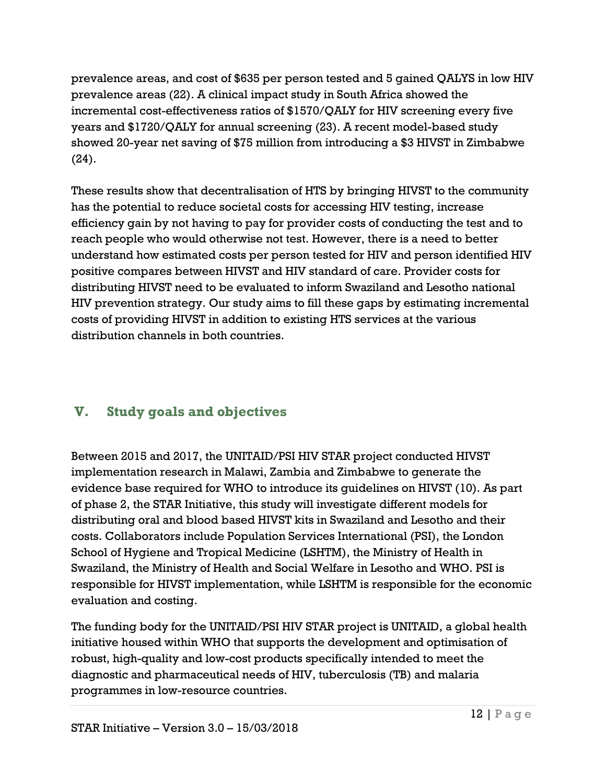prevalence areas, and cost of \$635 per person tested and 5 gained QALYS in low HIV prevalence areas [\(22\)](#page-36-3). A clinical impact study in South Africa showed the incremental cost-effectiveness ratios of \$1570/QALY for HIV screening every five years and \$1720/QALY for annual screening [\(23\)](#page-36-4). A recent model-based study showed 20-year net saving of \$75 million from introducing a \$3 HIVST in Zimbabwe [\(24\)](#page-36-5).

These results show that decentralisation of HTS by bringing HIVST to the community has the potential to reduce societal costs for accessing HIV testing, increase efficiency gain by not having to pay for provider costs of conducting the test and to reach people who would otherwise not test. However, there is a need to better understand how estimated costs per person tested for HIV and person identified HIV positive compares between HIVST and HIV standard of care. Provider costs for distributing HIVST need to be evaluated to inform Swaziland and Lesotho national HIV prevention strategy. Our study aims to fill these gaps by estimating incremental costs of providing HIVST in addition to existing HTS services at the various distribution channels in both countries.

# <span id="page-11-0"></span>**V. Study goals and objectives**

Between 2015 and 2017, the UNITAID/PSI HIV STAR project conducted HIVST implementation research in Malawi, Zambia and Zimbabwe to generate the evidence base required for WHO to introduce its guidelines on HIVST [\(10\)](#page-35-10). As part of phase 2, the STAR Initiative, this study will investigate different models for distributing oral and blood based HIVST kits in Swaziland and Lesotho and their costs. Collaborators include Population Services International (PSI), the London School of Hygiene and Tropical Medicine (LSHTM), the Ministry of Health in Swaziland, the Ministry of Health and Social Welfare in Lesotho and WHO. PSI is responsible for HIVST implementation, while LSHTM is responsible for the economic evaluation and costing.

The funding body for the UNITAID/PSI HIV STAR project is UNITAID, a global health initiative housed within WHO that supports the development and optimisation of robust, high-quality and low-cost products specifically intended to meet the diagnostic and pharmaceutical needs of HIV, tuberculosis (TB) and malaria programmes in low-resource countries.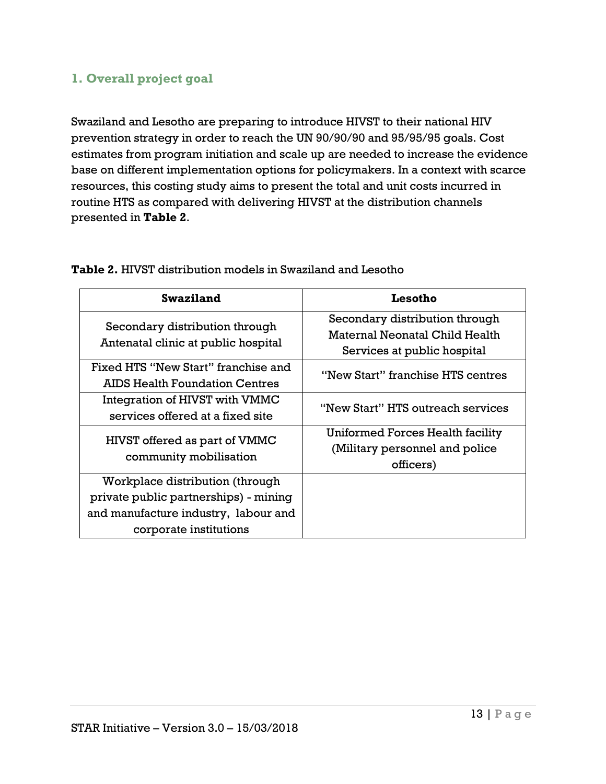# <span id="page-12-0"></span>**1. Overall project goal**

Swaziland and Lesotho are preparing to introduce HIVST to their national HIV prevention strategy in order to reach the UN 90/90/90 and 95/95/95 goals. Cost estimates from program initiation and scale up are needed to increase the evidence base on different implementation options for policymakers. In a context with scarce resources, this costing study aims to present the total and unit costs incurred in routine HTS as compared with delivering HIVST at the distribution channels presented in **Table 2**.

| <b>Swaziland</b>                                                                                                                           | Lesotho                                                                                         |
|--------------------------------------------------------------------------------------------------------------------------------------------|-------------------------------------------------------------------------------------------------|
| Secondary distribution through<br>Antenatal clinic at public hospital                                                                      | Secondary distribution through<br>Maternal Neonatal Child Health<br>Services at public hospital |
| Fixed HTS "New Start" franchise and<br>AIDS Health Foundation Centres                                                                      | "New Start" franchise HTS centres                                                               |
| Integration of HIVST with VMMC<br>services offered at a fixed site                                                                         | "New Start" HTS outreach services                                                               |
| HIVST offered as part of VMMC<br>community mobilisation                                                                                    | Uniformed Forces Health facility<br>(Military personnel and police<br>officers)                 |
| Workplace distribution (through<br>private public partnerships) - mining<br>and manufacture industry, labour and<br>corporate institutions |                                                                                                 |

**Table 2.** HIVST distribution models in Swaziland and Lesotho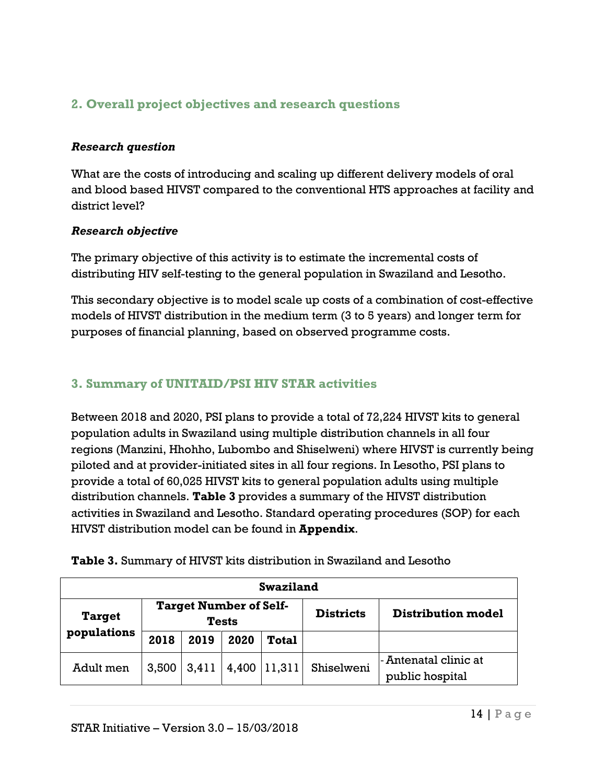# <span id="page-13-0"></span>**2. Overall project objectives and research questions**

#### *Research question*

What are the costs of introducing and scaling up different delivery models of oral and blood based HIVST compared to the conventional HTS approaches at facility and district level?

#### *Research objective*

The primary objective of this activity is to estimate the incremental costs of distributing HIV self-testing to the general population in Swaziland and Lesotho.

This secondary objective is to model scale up costs of a combination of cost-effective models of HIVST distribution in the medium term (3 to 5 years) and longer term for purposes of financial planning, based on observed programme costs.

## <span id="page-13-1"></span>**3. Summary of UNITAID/PSI HIV STAR activities**

Between 2018 and 2020, PSI plans to provide a total of 72,224 HIVST kits to general population adults in Swaziland using multiple distribution channels in all four regions (Manzini, Hhohho, Lubombo and Shiselweni) where HIVST is currently being piloted and at provider-initiated sites in all four regions. In Lesotho, PSI plans to provide a total of 60,025 HIVST kits to general population adults using multiple distribution channels. **Table 3** provides a summary of the HIVST distribution activities in Swaziland and Lesotho. Standard operating procedures (SOP) for each HIVST distribution model can be found in **Appendix**.

| <b>Swaziland</b> |                                               |       |       |              |                  |                                           |  |
|------------------|-----------------------------------------------|-------|-------|--------------|------------------|-------------------------------------------|--|
| <b>Target</b>    | <b>Target Number of Self-</b><br><b>Tests</b> |       |       |              | <b>Districts</b> | <b>Distribution model</b>                 |  |
| populations      | 2018                                          | 2019  | 2020  | <b>Total</b> |                  |                                           |  |
| Adult men        | 3,500                                         | 3,411 | 4,400 | 11,311       | Shiselweni       | l- Antenatal clinic at<br>public hospital |  |

**Table 3.** Summary of HIVST kits distribution in Swaziland and Lesotho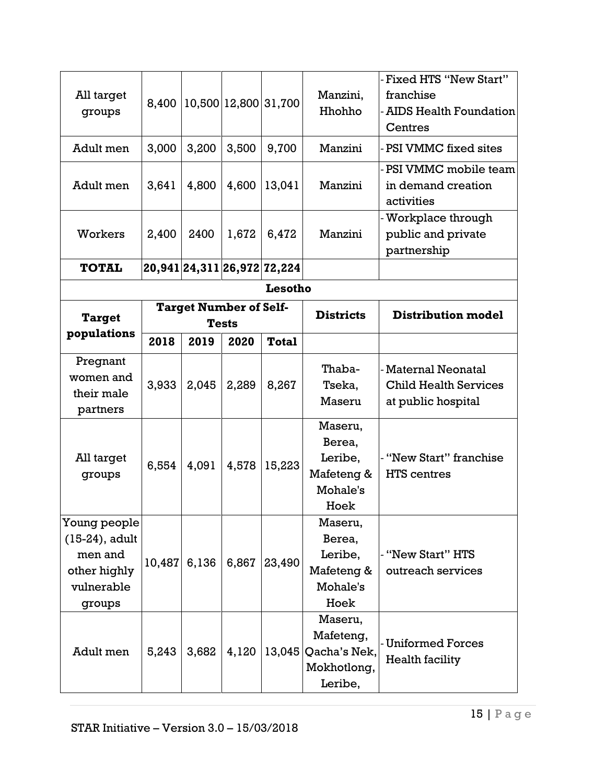| All target<br>groups                                                                 | 8,400  |                               |              | 10,500 12,800 31,700        | Manzini,<br>Hhohho                                             | Fixed HTS "New Start"<br>franchise<br><b>AIDS Health Foundation</b><br>Centres |
|--------------------------------------------------------------------------------------|--------|-------------------------------|--------------|-----------------------------|----------------------------------------------------------------|--------------------------------------------------------------------------------|
| Adult men                                                                            | 3,000  | 3,200                         | 3,500        | 9,700                       | Manzini                                                        | PSI VMMC fixed sites                                                           |
| Adult men                                                                            | 3,641  | 4,800                         | 4,600        | 13,041                      | Manzini                                                        | - PSI VMMC mobile team<br>in demand creation<br>activities                     |
| Workers                                                                              | 2,400  | 2400                          | 1,672        | 6,472                       | Manzini                                                        | Workplace through<br>public and private<br>partnership                         |
| <b>TOTAL</b>                                                                         |        |                               |              | 20,941 24,311 26,972 72,224 |                                                                |                                                                                |
|                                                                                      |        |                               |              | Lesotho                     |                                                                |                                                                                |
| <b>Target</b>                                                                        |        | <b>Target Number of Self-</b> | <b>Tests</b> |                             | <b>Districts</b>                                               | <b>Distribution model</b>                                                      |
| populations                                                                          | 2018   | 2019                          | 2020         | <b>Total</b>                |                                                                |                                                                                |
| Pregnant<br>women and<br>their male<br>partners                                      | 3,933  | 2,045                         | 2,289        | 8,267                       | Thaba-<br>Tseka,<br>Maseru                                     | - Maternal Neonatal<br><b>Child Health Services</b><br>at public hospital      |
| All target<br>groups                                                                 | 6,554  | 4,091                         | 4,578        | 15,223                      | Maseru,<br>Berea,<br>Leribe,<br>Mafeteng &<br>Mohale's<br>Hoek | - "New Start" franchise<br>HTS centres                                         |
| Young people<br>$(15-24)$ , adult<br>men and<br>other highly<br>vulnerable<br>groups | 10,487 | 6,136                         | 6,867        | 23,490                      | Maseru,<br>Berea,<br>Leribe,<br>Mafeteng &<br>Mohale's<br>Hoek | - "New Start" HTS<br>outreach services                                         |
| Adult men                                                                            | 5,243  | 3,682                         | 4,120        | 13,045                      | Maseru,<br>Mafeteng,<br>Qacha's Nek,<br>Mokhotlong,<br>Leribe, | <b>Uniformed Forces</b><br>Health facility                                     |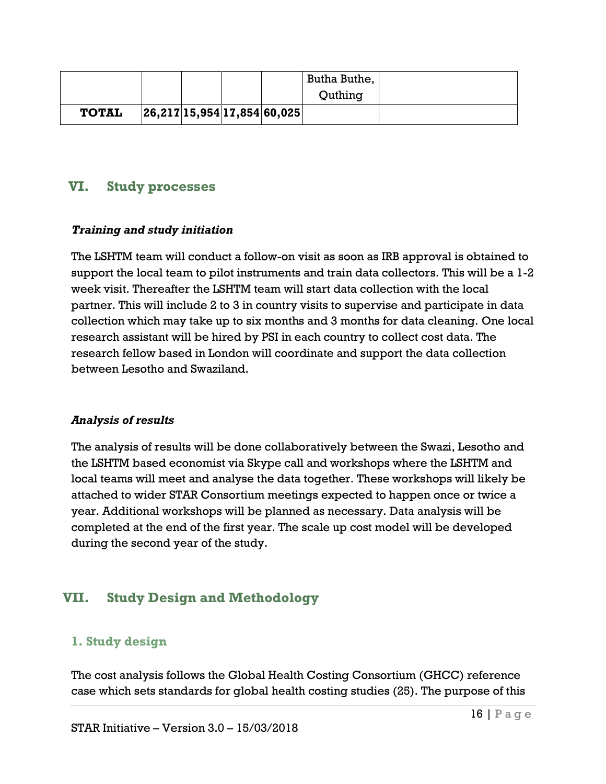|              |  |                             | Butha Buthe, |  |
|--------------|--|-----------------------------|--------------|--|
|              |  |                             | Quthing      |  |
| <b>TOTAL</b> |  | 26,217 15,954 17,854 60,025 |              |  |

## <span id="page-15-0"></span>**VI. Study processes**

#### *Training and study initiation*

The LSHTM team will conduct a follow-on visit as soon as IRB approval is obtained to support the local team to pilot instruments and train data collectors. This will be a 1-2 week visit. Thereafter the LSHTM team will start data collection with the local partner. This will include 2 to 3 in country visits to supervise and participate in data collection which may take up to six months and 3 months for data cleaning. One local research assistant will be hired by PSI in each country to collect cost data. The research fellow based in London will coordinate and support the data collection between Lesotho and Swaziland.

#### *Analysis of results*

The analysis of results will be done collaboratively between the Swazi, Lesotho and the LSHTM based economist via Skype call and workshops where the LSHTM and local teams will meet and analyse the data together. These workshops will likely be attached to wider STAR Consortium meetings expected to happen once or twice a year. Additional workshops will be planned as necessary. Data analysis will be completed at the end of the first year. The scale up cost model will be developed during the second year of the study.

# <span id="page-15-1"></span>**VII. Study Design and Methodology**

### <span id="page-15-2"></span>**1. Study design**

The cost analysis follows the Global Health Costing Consortium (GHCC) reference case which sets standards for global health costing studies [\(25\)](#page-36-6). The purpose of this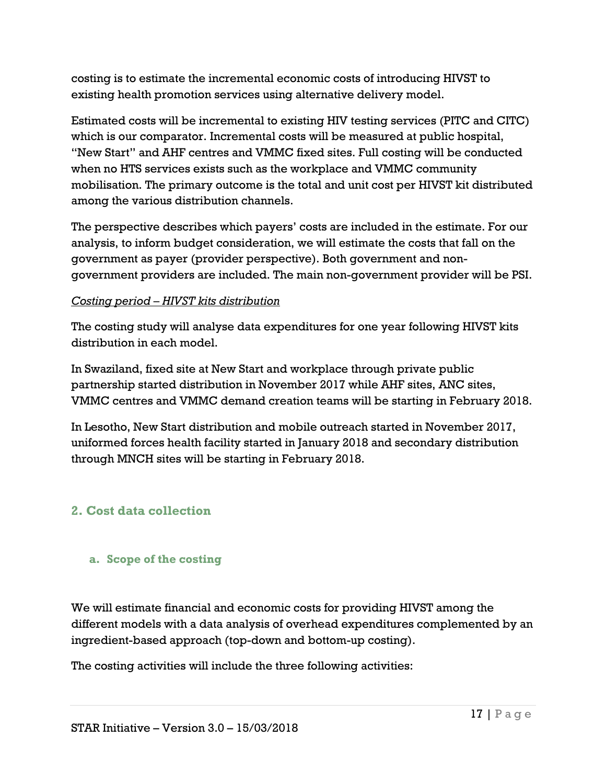costing is to estimate the incremental economic costs of introducing HIVST to existing health promotion services using alternative delivery model.

Estimated costs will be incremental to existing HIV testing services (PITC and CITC) which is our comparator. Incremental costs will be measured at public hospital, "New Start" and AHF centres and VMMC fixed sites. Full costing will be conducted when no HTS services exists such as the workplace and VMMC community mobilisation. The primary outcome is the total and unit cost per HIVST kit distributed among the various distribution channels.

The perspective describes which payers' costs are included in the estimate. For our analysis, to inform budget consideration, we will estimate the costs that fall on the government as payer (provider perspective). Both government and nongovernment providers are included. The main non-government provider will be PSI.

#### *Costing period – HIVST kits distribution*

The costing study will analyse data expenditures for one year following HIVST kits distribution in each model.

In Swaziland, fixed site at New Start and workplace through private public partnership started distribution in November 2017 while AHF sites, ANC sites, VMMC centres and VMMC demand creation teams will be starting in February 2018.

In Lesotho, New Start distribution and mobile outreach started in November 2017, uniformed forces health facility started in January 2018 and secondary distribution through MNCH sites will be starting in February 2018.

# <span id="page-16-0"></span>**2. Cost data collection**

#### <span id="page-16-1"></span>**a. Scope of the costing**

We will estimate financial and economic costs for providing HIVST among the different models with a data analysis of overhead expenditures complemented by an ingredient-based approach (top-down and bottom-up costing).

The costing activities will include the three following activities: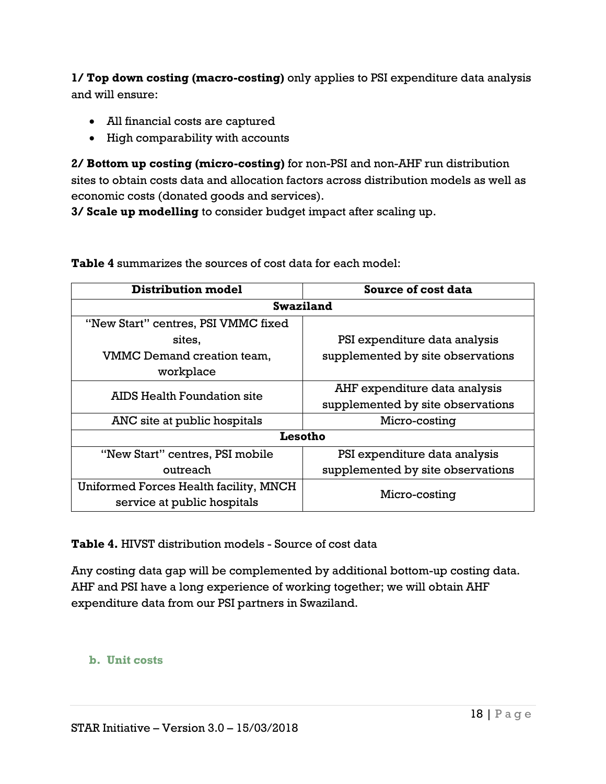**1/ Top down costing (macro-costing)** only applies to PSI expenditure data analysis and will ensure:

- All financial costs are captured
- High comparability with accounts

**2/ Bottom up costing (micro-costing)** for non-PSI and non-AHF run distribution sites to obtain costs data and allocation factors across distribution models as well as economic costs (donated goods and services).

**3/ Scale up modelling** to consider budget impact after scaling up.

| <b>Distribution model</b>              | Source of cost data               |  |  |  |  |
|----------------------------------------|-----------------------------------|--|--|--|--|
| <b>Swaziland</b>                       |                                   |  |  |  |  |
| "New Start" centres, PSI VMMC fixed    |                                   |  |  |  |  |
| sites,                                 | PSI expenditure data analysis     |  |  |  |  |
| VMMC Demand creation team,             | supplemented by site observations |  |  |  |  |
| workplace                              |                                   |  |  |  |  |
| AIDS Health Foundation site            | AHF expenditure data analysis     |  |  |  |  |
|                                        | supplemented by site observations |  |  |  |  |
| ANC site at public hospitals           | Micro-costing                     |  |  |  |  |
| Lesotho                                |                                   |  |  |  |  |
| "New Start" centres, PSI mobile        | PSI expenditure data analysis     |  |  |  |  |
| outreach                               | supplemented by site observations |  |  |  |  |
| Uniformed Forces Health facility, MNCH | Micro-costing                     |  |  |  |  |
| service at public hospitals            |                                   |  |  |  |  |

**Table 4** summarizes the sources of cost data for each model:

**Table 4.** HIVST distribution models - Source of cost data

Any costing data gap will be complemented by additional bottom-up costing data. AHF and PSI have a long experience of working together; we will obtain AHF expenditure data from our PSI partners in Swaziland.

#### <span id="page-17-0"></span>**b. Unit costs**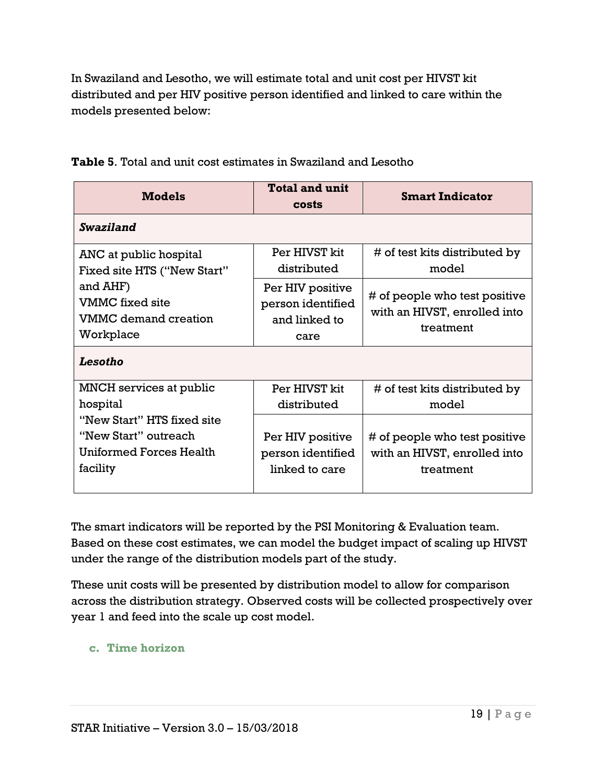In Swaziland and Lesotho, we will estimate total and unit cost per HIVST kit distributed and per HIV positive person identified and linked to care within the models presented below:

| <b>Models</b>                  | <b>Total and unit</b><br>costs | <b>Smart Indicator</b>        |
|--------------------------------|--------------------------------|-------------------------------|
| <b>Swaziland</b>               |                                |                               |
| ANC at public hospital         | Per HIVST kit                  | # of test kits distributed by |
| Fixed site HTS ("New Start"    | distributed                    | model                         |
| and AHF)                       | Per HIV positive               | # of people who test positive |
| VMMC fixed site                | person identified              | with an HIVST, enrolled into  |
| VMMC demand creation           | and linked to                  | treatment                     |
| Workplace                      | care                           |                               |
| Lesotho                        |                                |                               |
| MNCH services at public        | Per HIVST kit                  | # of test kits distributed by |
| hospital                       | distributed                    | model                         |
| "New Start" HTS fixed site     |                                |                               |
| "New Start" outreach           | Per HIV positive               | # of people who test positive |
| <b>Uniformed Forces Health</b> | person identified              | with an HIVST, enrolled into  |
| facility                       | linked to care                 | treatment                     |

**Table 5**. Total and unit cost estimates in Swaziland and Lesotho

The smart indicators will be reported by the PSI Monitoring & Evaluation team. Based on these cost estimates, we can model the budget impact of scaling up HIVST under the range of the distribution models part of the study.

These unit costs will be presented by distribution model to allow for comparison across the distribution strategy. Observed costs will be collected prospectively over year 1 and feed into the scale up cost model.

### <span id="page-18-0"></span>**c. Time horizon**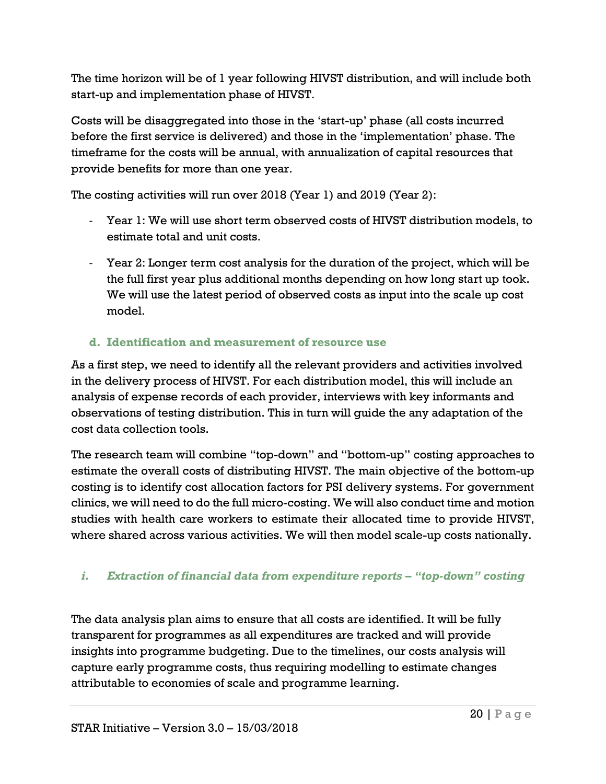The time horizon will be of 1 year following HIVST distribution, and will include both start-up and implementation phase of HIVST.

Costs will be disaggregated into those in the 'start-up' phase (all costs incurred before the first service is delivered) and those in the 'implementation' phase. The timeframe for the costs will be annual, with annualization of capital resources that provide benefits for more than one year.

The costing activities will run over 2018 (Year 1) and 2019 (Year 2):

- Year 1: We will use short term observed costs of HIVST distribution models, to estimate total and unit costs.
- Year 2: Longer term cost analysis for the duration of the project, which will be the full first year plus additional months depending on how long start up took. We will use the latest period of observed costs as input into the scale up cost model.

# <span id="page-19-0"></span>**d. Identification and measurement of resource use**

As a first step, we need to identify all the relevant providers and activities involved in the delivery process of HIVST. For each distribution model, this will include an analysis of expense records of each provider, interviews with key informants and observations of testing distribution. This in turn will guide the any adaptation of the cost data collection tools.

The research team will combine "top-down" and "bottom-up" costing approaches to estimate the overall costs of distributing HIVST. The main objective of the bottom-up costing is to identify cost allocation factors for PSI delivery systems. For government clinics, we will need to do the full micro-costing. We will also conduct time and motion studies with health care workers to estimate their allocated time to provide HIVST, where shared across various activities. We will then model scale-up costs nationally.

# *i. Extraction of financial data from expenditure reports – "top-down" costing*

The data analysis plan aims to ensure that all costs are identified. It will be fully transparent for programmes as all expenditures are tracked and will provide insights into programme budgeting. Due to the timelines, our costs analysis will capture early programme costs, thus requiring modelling to estimate changes attributable to economies of scale and programme learning.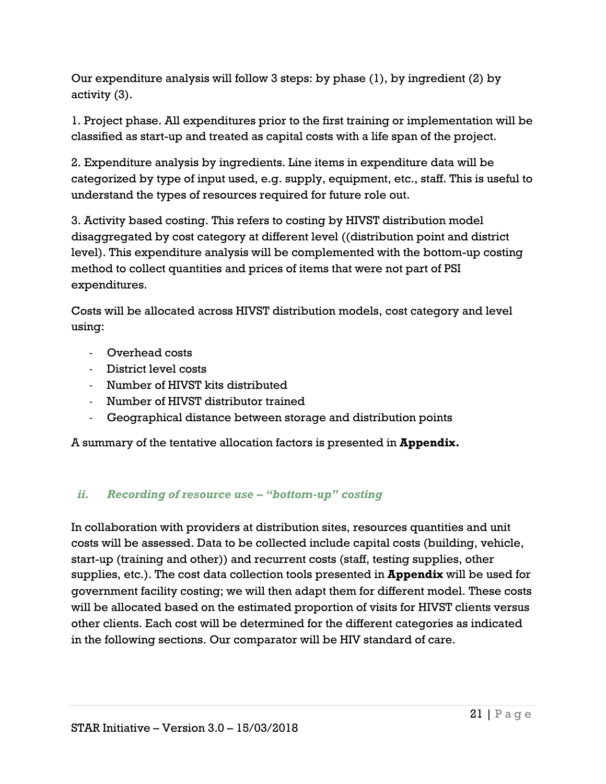Our expenditure analysis will follow 3 steps: by phase (1), by ingredient (2) by activity (3).

1. Project phase. All expenditures prior to the first training or implementation will be classified as start-up and treated as capital costs with a life span of the project.

2. Expenditure analysis by ingredients. Line items in expenditure data will be categorized by type of input used, e.g. supply, equipment, etc., staff. This is useful to understand the types of resources required for future role out.

3. Activity based costing. This refers to costing by HIVST distribution model disaggregated by cost category at different level ((distribution point and district level). This expenditure analysis will be complemented with the bottom-up costing method to collect quantities and prices of items that were not part of PSI expenditures.

Costs will be allocated across HIVST distribution models, cost category and level using:

- Overhead costs
- District level costs
- Number of HIVST kits distributed
- Number of HIVST distributor trained
- Geographical distance between storage and distribution points

A summary of the tentative allocation factors is presented in **Appendix.**

### *ii. Recording of resource use – "bottom-up" costing*

In collaboration with providers at distribution sites, resources quantities and unit costs will be assessed. Data to be collected include capital costs (building, vehicle, start-up (training and other)) and recurrent costs (staff, testing supplies, other supplies, etc.). The cost data collection tools presented in **Appendix** will be used for government facility costing; we will then adapt them for different model. These costs will be allocated based on the estimated proportion of visits for HIVST clients versus other clients. Each cost will be determined for the different categories as indicated in the following sections. Our comparator will be HIV standard of care.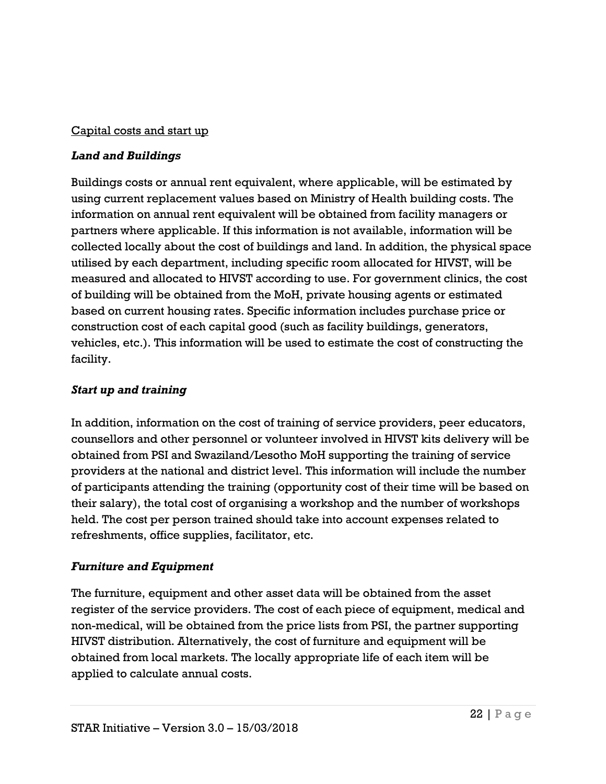#### Capital costs and start up

#### *Land and Buildings*

Buildings costs or annual rent equivalent, where applicable, will be estimated by using current replacement values based on Ministry of Health building costs. The information on annual rent equivalent will be obtained from facility managers or partners where applicable. If this information is not available, information will be collected locally about the cost of buildings and land. In addition, the physical space utilised by each department, including specific room allocated for HIVST, will be measured and allocated to HIVST according to use. For government clinics, the cost of building will be obtained from the MoH, private housing agents or estimated based on current housing rates. Specific information includes purchase price or construction cost of each capital good (such as facility buildings, generators, vehicles, etc.). This information will be used to estimate the cost of constructing the facility.

#### *Start up and training*

In addition, information on the cost of training of service providers, peer educators, counsellors and other personnel or volunteer involved in HIVST kits delivery will be obtained from PSI and Swaziland/Lesotho MoH supporting the training of service providers at the national and district level. This information will include the number of participants attending the training (opportunity cost of their time will be based on their salary), the total cost of organising a workshop and the number of workshops held. The cost per person trained should take into account expenses related to refreshments, office supplies, facilitator, etc.

### *Furniture and Equipment*

The furniture, equipment and other asset data will be obtained from the asset register of the service providers. The cost of each piece of equipment, medical and non-medical, will be obtained from the price lists from PSI, the partner supporting HIVST distribution. Alternatively, the cost of furniture and equipment will be obtained from local markets. The locally appropriate life of each item will be applied to calculate annual costs.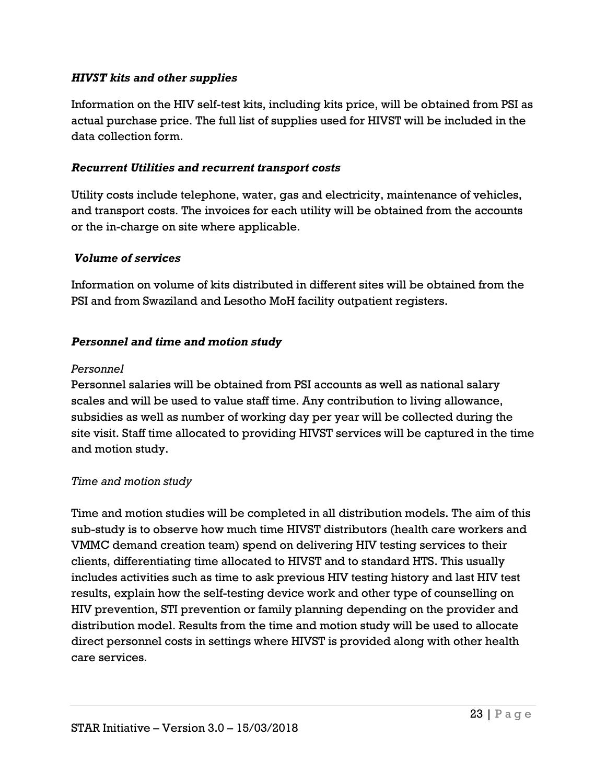#### *HIVST kits and other supplies*

Information on the HIV self-test kits, including kits price, will be obtained from PSI as actual purchase price. The full list of supplies used for HIVST will be included in the data collection form.

#### *Recurrent Utilities and recurrent transport costs*

Utility costs include telephone, water, gas and electricity, maintenance of vehicles, and transport costs. The invoices for each utility will be obtained from the accounts or the in-charge on site where applicable.

#### *Volume of services*

Information on volume of kits distributed in different sites will be obtained from the PSI and from Swaziland and Lesotho MoH facility outpatient registers.

#### *Personnel and time and motion study*

#### *Personnel*

Personnel salaries will be obtained from PSI accounts as well as national salary scales and will be used to value staff time. Any contribution to living allowance, subsidies as well as number of working day per year will be collected during the site visit. Staff time allocated to providing HIVST services will be captured in the time and motion study.

#### *Time and motion study*

Time and motion studies will be completed in all distribution models. The aim of this sub-study is to observe how much time HIVST distributors (health care workers and VMMC demand creation team) spend on delivering HIV testing services to their clients, differentiating time allocated to HIVST and to standard HTS. This usually includes activities such as time to ask previous HIV testing history and last HIV test results, explain how the self-testing device work and other type of counselling on HIV prevention, STI prevention or family planning depending on the provider and distribution model. Results from the time and motion study will be used to allocate direct personnel costs in settings where HIVST is provided along with other health care services.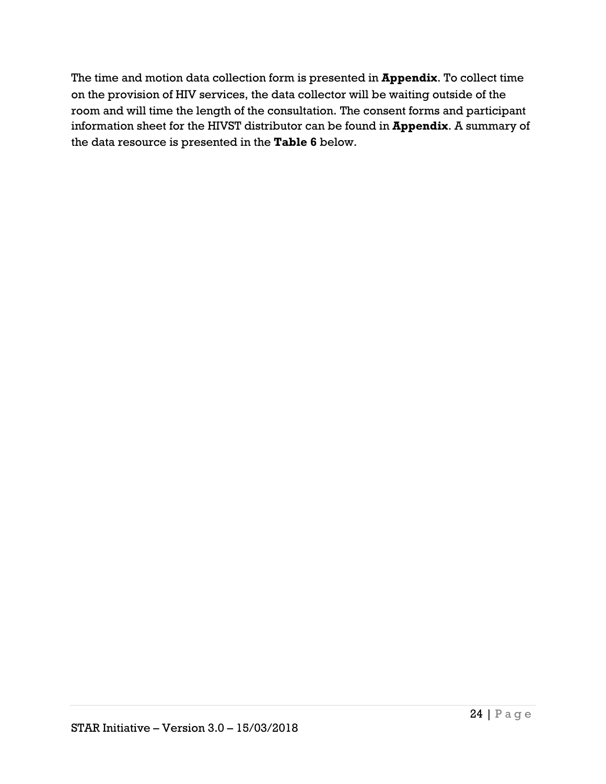The time and motion data collection form is presented in **Appendix**. To collect time on the provision of HIV services, the data collector will be waiting outside of the room and will time the length of the consultation. The consent forms and participant information sheet for the HIVST distributor can be found in **Appendix**. A summary of the data resource is presented in the **Table 6** below.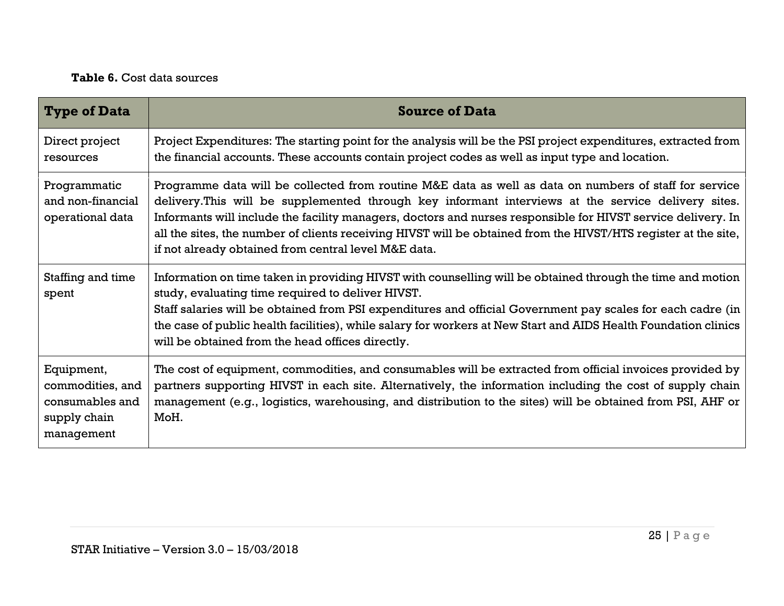## **Table 6.** Cost data sources

| <b>Type of Data</b>                                                             | <b>Source of Data</b>                                                                                                                                                                                                                                                                                                                                                                                                                                                                                   |
|---------------------------------------------------------------------------------|---------------------------------------------------------------------------------------------------------------------------------------------------------------------------------------------------------------------------------------------------------------------------------------------------------------------------------------------------------------------------------------------------------------------------------------------------------------------------------------------------------|
| Direct project<br>resources                                                     | Project Expenditures: The starting point for the analysis will be the PSI project expenditures, extracted from<br>the financial accounts. These accounts contain project codes as well as input type and location.                                                                                                                                                                                                                                                                                      |
| Programmatic<br>and non-financial<br>operational data                           | Programme data will be collected from routine M&E data as well as data on numbers of staff for service<br>delivery. This will be supplemented through key informant interviews at the service delivery sites.<br>Informants will include the facility managers, doctors and nurses responsible for HIVST service delivery. In<br>all the sites, the number of clients receiving HIVST will be obtained from the HIVST/HTS register at the site,<br>if not already obtained from central level M&E data. |
| Staffing and time<br>spent                                                      | Information on time taken in providing HIVST with counselling will be obtained through the time and motion<br>study, evaluating time required to deliver HIVST.<br>Staff salaries will be obtained from PSI expenditures and official Government pay scales for each cadre (in<br>the case of public health facilities), while salary for workers at New Start and AIDS Health Foundation clinics<br>will be obtained from the head offices directly.                                                   |
| Equipment,<br>commodities, and<br>consumables and<br>supply chain<br>management | The cost of equipment, commodities, and consumables will be extracted from official invoices provided by<br>partners supporting HIVST in each site. Alternatively, the information including the cost of supply chain<br>management (e.g., logistics, warehousing, and distribution to the sites) will be obtained from PSI, AHF or<br>MoH.                                                                                                                                                             |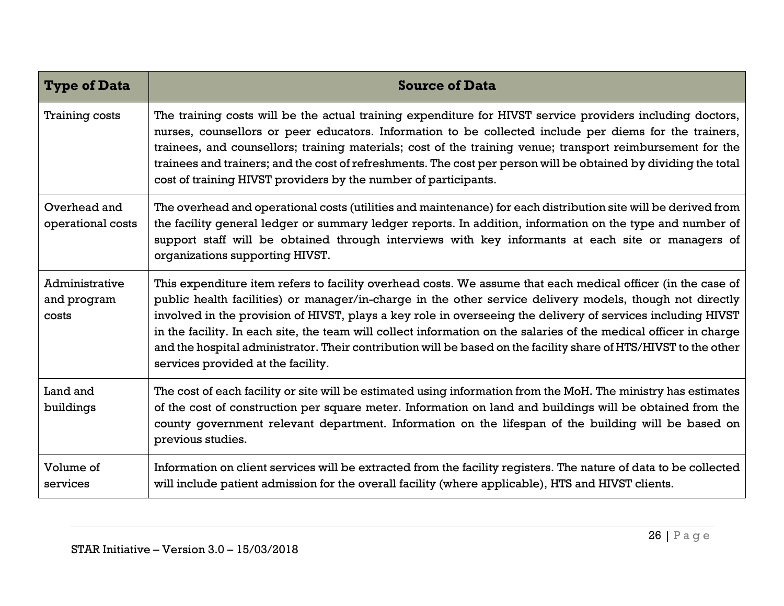| <b>Type of Data</b>                           | <b>Source of Data</b>                                                                                                                                                                                                                                                                                                                                                                                                                                                                                                                                                                                                  |
|-----------------------------------------------|------------------------------------------------------------------------------------------------------------------------------------------------------------------------------------------------------------------------------------------------------------------------------------------------------------------------------------------------------------------------------------------------------------------------------------------------------------------------------------------------------------------------------------------------------------------------------------------------------------------------|
| <b>Training costs</b>                         | The training costs will be the actual training expenditure for HIVST service providers including doctors,<br>nurses, counsellors or peer educators. Information to be collected include per diems for the trainers,<br>trainees, and counsellors; training materials; cost of the training venue; transport reimbursement for the<br>trainees and trainers; and the cost of refreshments. The cost per person will be obtained by dividing the total<br>cost of training HIVST providers by the number of participants.                                                                                                |
| Overhead and<br>operational costs             | The overhead and operational costs (utilities and maintenance) for each distribution site will be derived from<br>the facility general ledger or summary ledger reports. In addition, information on the type and number of<br>support staff will be obtained through interviews with key informants at each site or managers of<br>organizations supporting HIVST.                                                                                                                                                                                                                                                    |
| <b>Administrative</b><br>and program<br>costs | This expenditure item refers to facility overhead costs. We assume that each medical officer (in the case of<br>public health facilities) or manager/in-charge in the other service delivery models, though not directly<br>involved in the provision of HIVST, plays a key role in overseeing the delivery of services including HIVST<br>in the facility. In each site, the team will collect information on the salaries of the medical officer in charge<br>and the hospital administrator. Their contribution will be based on the facility share of HTS/HIVST to the other<br>services provided at the facility. |
| Land and<br>buildings                         | The cost of each facility or site will be estimated using information from the MoH. The ministry has estimates<br>of the cost of construction per square meter. Information on land and buildings will be obtained from the<br>county government relevant department. Information on the lifespan of the building will be based on<br>previous studies.                                                                                                                                                                                                                                                                |
| Volume of<br>services                         | Information on client services will be extracted from the facility registers. The nature of data to be collected<br>will include patient admission for the overall facility (where applicable), HTS and HIVST clients.                                                                                                                                                                                                                                                                                                                                                                                                 |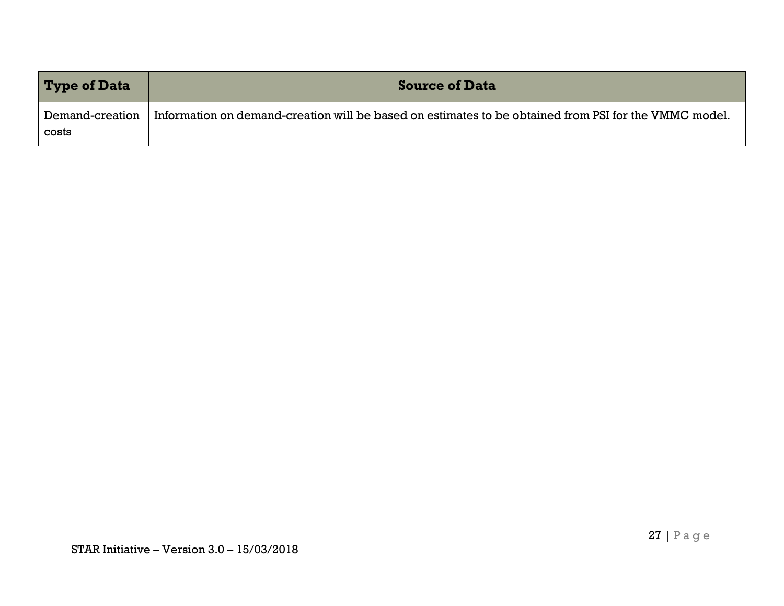| <b>Type of Data</b>      | <b>Source of Data</b>                                                                                 |
|--------------------------|-------------------------------------------------------------------------------------------------------|
| Demand-creation<br>costs | Information on demand-creation will be based on estimates to be obtained from PSI for the VMMC model. |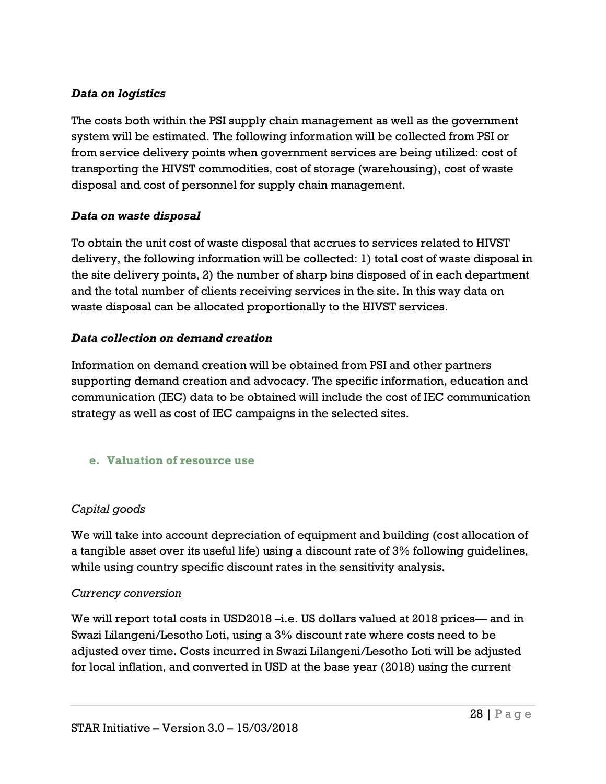#### *Data on logistics*

The costs both within the PSI supply chain management as well as the government system will be estimated. The following information will be collected from PSI or from service delivery points when government services are being utilized: cost of transporting the HIVST commodities, cost of storage (warehousing), cost of waste disposal and cost of personnel for supply chain management.

#### *Data on waste disposal*

To obtain the unit cost of waste disposal that accrues to services related to HIVST delivery, the following information will be collected: 1) total cost of waste disposal in the site delivery points, 2) the number of sharp bins disposed of in each department and the total number of clients receiving services in the site. In this way data on waste disposal can be allocated proportionally to the HIVST services.

#### *Data collection on demand creation*

Information on demand creation will be obtained from PSI and other partners supporting demand creation and advocacy. The specific information, education and communication (IEC) data to be obtained will include the cost of IEC communication strategy as well as cost of IEC campaigns in the selected sites.

<span id="page-27-0"></span>**e. Valuation of resource use**

### *Capital goods*

We will take into account depreciation of equipment and building (cost allocation of a tangible asset over its useful life) using a discount rate of 3% following guidelines, while using country specific discount rates in the sensitivity analysis.

#### *Currency conversion*

We will report total costs in USD2018 –i.e. US dollars valued at 2018 prices— and in Swazi Lilangeni/Lesotho Loti, using a 3% discount rate where costs need to be adjusted over time. Costs incurred in Swazi Lilangeni/Lesotho Loti will be adjusted for local inflation, and converted in USD at the base year (2018) using the current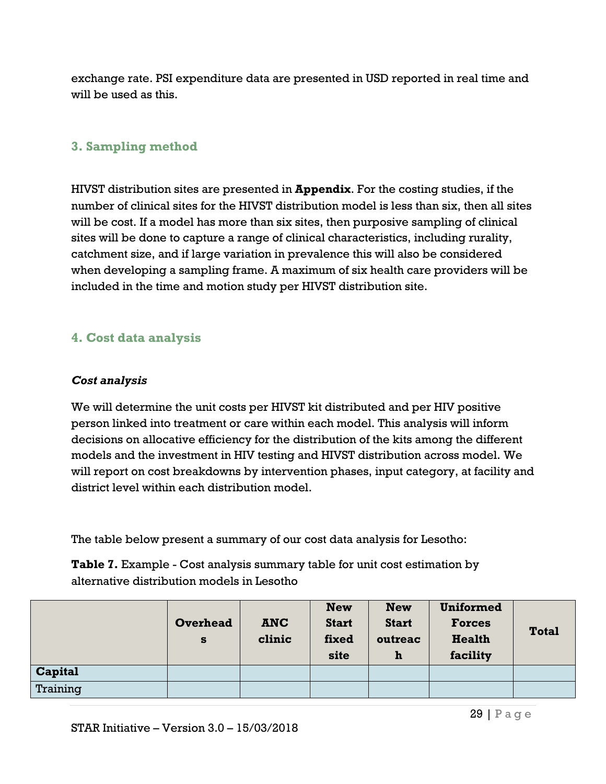exchange rate. PSI expenditure data are presented in USD reported in real time and will be used as this.

## <span id="page-28-0"></span>**3. Sampling method**

HIVST distribution sites are presented in **Appendix**. For the costing studies, if the number of clinical sites for the HIVST distribution model is less than six, then all sites will be cost. If a model has more than six sites, then purposive sampling of clinical sites will be done to capture a range of clinical characteristics, including rurality, catchment size, and if large variation in prevalence this will also be considered when developing a sampling frame. A maximum of six health care providers will be included in the time and motion study per HIVST distribution site.

## <span id="page-28-1"></span>**4. Cost data analysis**

#### *Cost analysis*

We will determine the unit costs per HIVST kit distributed and per HIV positive person linked into treatment or care within each model. This analysis will inform decisions on allocative efficiency for the distribution of the kits among the different models and the investment in HIV testing and HIVST distribution across model. We will report on cost breakdowns by intervention phases, input category, at facility and district level within each distribution model.

The table below present a summary of our cost data analysis for Lesotho:

**Table 7.** Example - Cost analysis summary table for unit cost estimation by alternative distribution models in Lesotho

|          | Overhead<br>S | <b>ANC</b><br>clinic | <b>New</b><br><b>Start</b><br>fixed<br>site | <b>New</b><br><b>Start</b><br>outreac<br>h | <b>Uniformed</b><br><b>Forces</b><br><b>Health</b><br>facility | <b>Total</b> |
|----------|---------------|----------------------|---------------------------------------------|--------------------------------------------|----------------------------------------------------------------|--------------|
| Capital  |               |                      |                                             |                                            |                                                                |              |
| Training |               |                      |                                             |                                            |                                                                |              |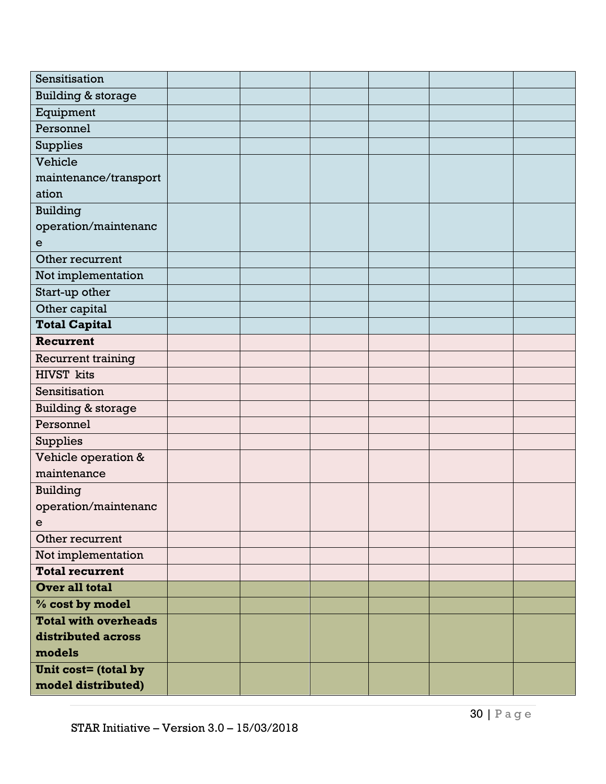| Sensitisation                 |  |  |  |
|-------------------------------|--|--|--|
| <b>Building &amp; storage</b> |  |  |  |
| Equipment                     |  |  |  |
| Personnel                     |  |  |  |
| Supplies                      |  |  |  |
| Vehicle                       |  |  |  |
| maintenance/transport         |  |  |  |
| ation                         |  |  |  |
| <b>Building</b>               |  |  |  |
| operation/maintenanc          |  |  |  |
| e                             |  |  |  |
| Other recurrent               |  |  |  |
| Not implementation            |  |  |  |
| Start-up other                |  |  |  |
| Other capital                 |  |  |  |
| <b>Total Capital</b>          |  |  |  |
| Recurrent                     |  |  |  |
| Recurrent training            |  |  |  |
| <b>HIVST</b> kits             |  |  |  |
| Sensitisation                 |  |  |  |
| <b>Building &amp; storage</b> |  |  |  |
| Personnel                     |  |  |  |
| <b>Supplies</b>               |  |  |  |
| Vehicle operation &           |  |  |  |
| maintenance                   |  |  |  |
| <b>Building</b>               |  |  |  |
| operation/maintenanc          |  |  |  |
| $\mathbf e$                   |  |  |  |
| Other recurrent               |  |  |  |
| Not implementation            |  |  |  |
| <b>Total recurrent</b>        |  |  |  |
| Over all total                |  |  |  |
| % cost by model               |  |  |  |
| <b>Total with overheads</b>   |  |  |  |
| distributed across            |  |  |  |
| models                        |  |  |  |
| Unit cost= (total by          |  |  |  |
| model distributed)            |  |  |  |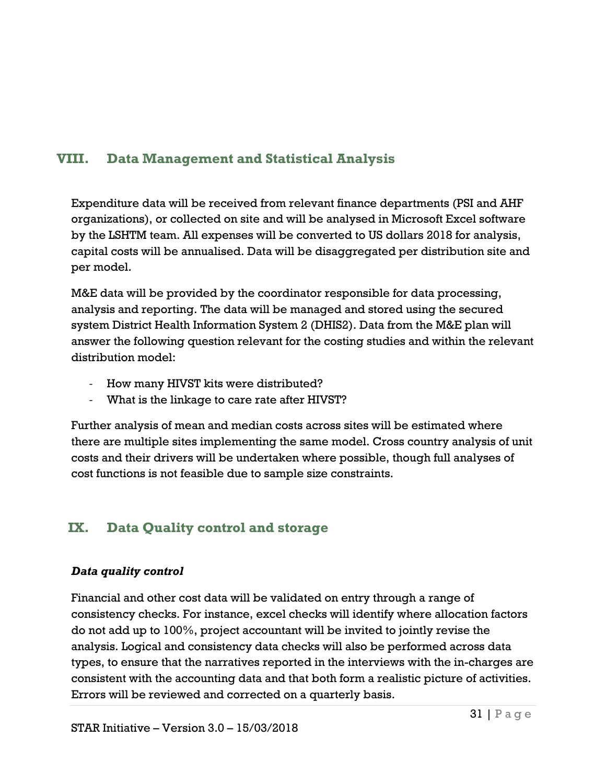# <span id="page-30-0"></span>**VIII. Data Management and Statistical Analysis**

Expenditure data will be received from relevant finance departments (PSI and AHF organizations), or collected on site and will be analysed in Microsoft Excel software by the LSHTM team. All expenses will be converted to US dollars 2018 for analysis, capital costs will be annualised. Data will be disaggregated per distribution site and per model.

M&E data will be provided by the coordinator responsible for data processing, analysis and reporting. The data will be managed and stored using the secured system District Health Information System 2 (DHIS2). Data from the M&E plan will answer the following question relevant for the costing studies and within the relevant distribution model:

- How many HIVST kits were distributed?
- What is the linkage to care rate after HIVST?

Further analysis of mean and median costs across sites will be estimated where there are multiple sites implementing the same model. Cross country analysis of unit costs and their drivers will be undertaken where possible, though full analyses of cost functions is not feasible due to sample size constraints.

# <span id="page-30-1"></span>**IX. Data Quality control and storage**

# *Data quality control*

Financial and other cost data will be validated on entry through a range of consistency checks. For instance, excel checks will identify where allocation factors do not add up to 100%, project accountant will be invited to jointly revise the analysis. Logical and consistency data checks will also be performed across data types, to ensure that the narratives reported in the interviews with the in-charges are consistent with the accounting data and that both form a realistic picture of activities. Errors will be reviewed and corrected on a quarterly basis.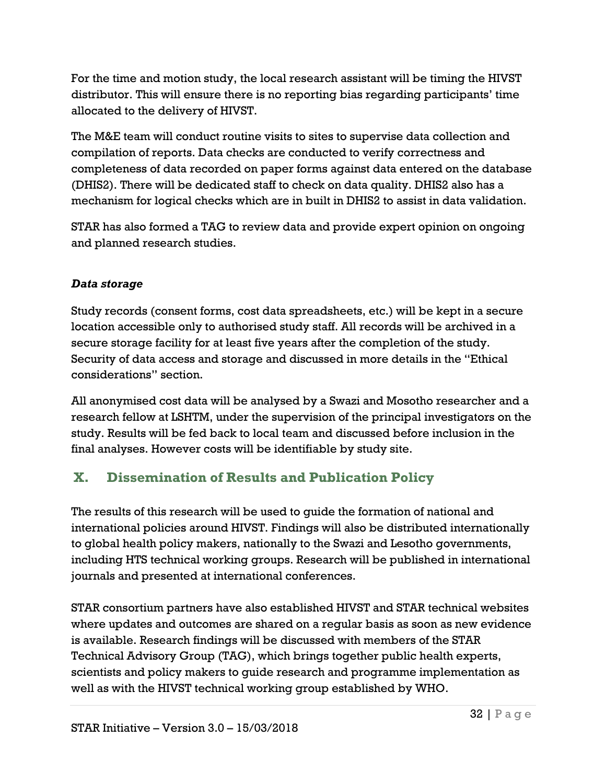For the time and motion study, the local research assistant will be timing the HIVST distributor. This will ensure there is no reporting bias regarding participants' time allocated to the delivery of HIVST.

The M&E team will conduct routine visits to sites to supervise data collection and compilation of reports. Data checks are conducted to verify correctness and completeness of data recorded on paper forms against data entered on the database (DHIS2). There will be dedicated staff to check on data quality. DHIS2 also has a mechanism for logical checks which are in built in DHIS2 to assist in data validation.

STAR has also formed a TAG to review data and provide expert opinion on ongoing and planned research studies.

## *Data storage*

Study records (consent forms, cost data spreadsheets, etc.) will be kept in a secure location accessible only to authorised study staff. All records will be archived in a secure storage facility for at least five years after the completion of the study. Security of data access and storage and discussed in more details in the "Ethical considerations" section.

All anonymised cost data will be analysed by a Swazi and Mosotho researcher and a research fellow at LSHTM, under the supervision of the principal investigators on the study. Results will be fed back to local team and discussed before inclusion in the final analyses. However costs will be identifiable by study site.

# <span id="page-31-0"></span>**X. Dissemination of Results and Publication Policy**

The results of this research will be used to guide the formation of national and international policies around HIVST. Findings will also be distributed internationally to global health policy makers, nationally to the Swazi and Lesotho governments, including HTS technical working groups. Research will be published in international journals and presented at international conferences.

STAR consortium partners have also established HIVST and STAR technical websites where updates and outcomes are shared on a regular basis as soon as new evidence is available. Research findings will be discussed with members of the STAR Technical Advisory Group (TAG), which brings together public health experts, scientists and policy makers to guide research and programme implementation as well as with the HIVST technical working group established by WHO.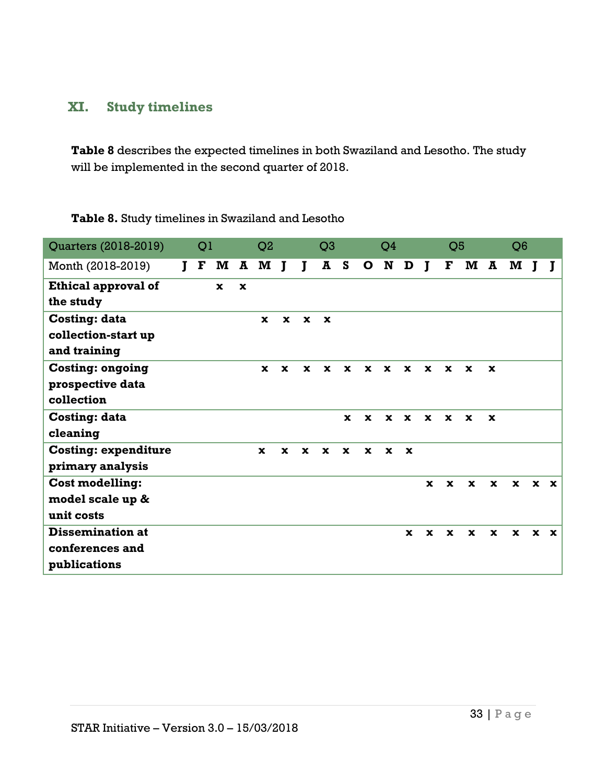# <span id="page-32-0"></span>**XI. Study timelines**

**Table 8** describes the expected timelines in both Swaziland and Lesotho. The study will be implemented in the second quarter of 2018.

| Quarters (2018-2019)        |   | Q <sub>1</sub> |              |             | Q <sub>2</sub> |              |              | Q <sub>3</sub> |              |              | Q4           |              |              | Q <sub>5</sub> |              |                         | Q <sub>6</sub> |             |             |
|-----------------------------|---|----------------|--------------|-------------|----------------|--------------|--------------|----------------|--------------|--------------|--------------|--------------|--------------|----------------|--------------|-------------------------|----------------|-------------|-------------|
| Month (2018-2019)           | L | F              | $\mathbf{M}$ |             | A M            | $\mathbf{J}$ | $\mathbf{I}$ | ${\bf A}$      | S            | $\mathbf{o}$ | N            | D            | $\bf{I}$     | F              | $\mathbf{M}$ | $\overline{\mathbf{A}}$ | M              |             |             |
| Ethical approval of         |   |                | $\mathbf{x}$ | $\mathbf x$ |                |              |              |                |              |              |              |              |              |                |              |                         |                |             |             |
| the study                   |   |                |              |             |                |              |              |                |              |              |              |              |              |                |              |                         |                |             |             |
| <b>Costing: data</b>        |   |                |              |             | $\mathbf x$    | $\mathbf{x}$ | $\mathbf{x}$ | $\mathbf x$    |              |              |              |              |              |                |              |                         |                |             |             |
| collection-start up         |   |                |              |             |                |              |              |                |              |              |              |              |              |                |              |                         |                |             |             |
| and training                |   |                |              |             |                |              |              |                |              |              |              |              |              |                |              |                         |                |             |             |
| <b>Costing: ongoing</b>     |   |                |              |             | $\mathbf{x}$   | $\mathbf x$  | $\mathbf{x}$ | $\mathbf x$    | $\mathbf x$  | $\mathbf x$  | $\mathbf{x}$ | $\mathbf{x}$ | $\mathbf x$  | $\mathbf x$    | $\mathbf x$  | $\mathbf x$             |                |             |             |
| prospective data            |   |                |              |             |                |              |              |                |              |              |              |              |              |                |              |                         |                |             |             |
| collection                  |   |                |              |             |                |              |              |                |              |              |              |              |              |                |              |                         |                |             |             |
| <b>Costing: data</b>        |   |                |              |             |                |              |              |                | $\mathbf x$  | $\mathbf x$  | $\mathbf x$  | $\mathbf{x}$ | $\mathbf x$  | $\mathbf x$    | $\mathbf x$  | $\mathbf x$             |                |             |             |
| cleaning                    |   |                |              |             |                |              |              |                |              |              |              |              |              |                |              |                         |                |             |             |
| <b>Costing: expenditure</b> |   |                |              |             | $\mathbf{x}$   | $\mathbf{x}$ | $\mathbf x$  | $\mathbf{x}$   | $\mathbf{x}$ | $\mathbf{x}$ | $\mathbf x$  | $\mathbf x$  |              |                |              |                         |                |             |             |
| primary analysis            |   |                |              |             |                |              |              |                |              |              |              |              |              |                |              |                         |                |             |             |
| <b>Cost modelling:</b>      |   |                |              |             |                |              |              |                |              |              |              |              | $\mathbf{x}$ | $\mathbf x$    | $\mathbf x$  | $\mathbf x$             | $\mathbf{x}$   | $\mathbf x$ | $\mathbf x$ |
| model scale up &            |   |                |              |             |                |              |              |                |              |              |              |              |              |                |              |                         |                |             |             |
| unit costs                  |   |                |              |             |                |              |              |                |              |              |              |              |              |                |              |                         |                |             |             |
| <b>Dissemination at</b>     |   |                |              |             |                |              |              |                |              |              |              | $\mathbf x$  | $\mathbf x$  | $\mathbf x$    | $\mathbf x$  | $\mathbf x$             | $\mathbf{x}$   | $\mathbf x$ | $\mathbf x$ |
| conferences and             |   |                |              |             |                |              |              |                |              |              |              |              |              |                |              |                         |                |             |             |
| publications                |   |                |              |             |                |              |              |                |              |              |              |              |              |                |              |                         |                |             |             |

**Table 8.** Study timelines in Swaziland and Lesotho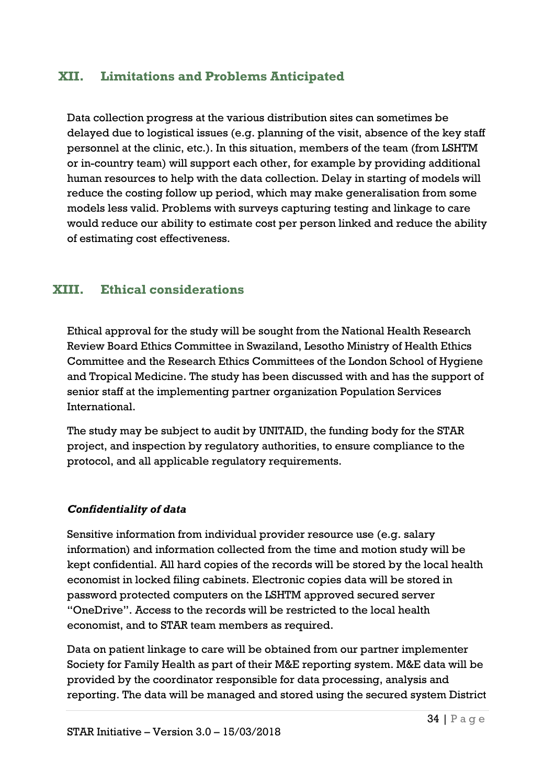# <span id="page-33-0"></span>**XII. Limitations and Problems Anticipated**

Data collection progress at the various distribution sites can sometimes be delayed due to logistical issues (e.g. planning of the visit, absence of the key staff personnel at the clinic, etc.). In this situation, members of the team (from LSHTM or in-country team) will support each other, for example by providing additional human resources to help with the data collection. Delay in starting of models will reduce the costing follow up period, which may make generalisation from some models less valid. Problems with surveys capturing testing and linkage to care would reduce our ability to estimate cost per person linked and reduce the ability of estimating cost effectiveness.

# <span id="page-33-1"></span>**XIII. Ethical considerations**

Ethical approval for the study will be sought from the National Health Research Review Board Ethics Committee in Swaziland, Lesotho Ministry of Health Ethics Committee and the Research Ethics Committees of the London School of Hygiene and Tropical Medicine. The study has been discussed with and has the support of senior staff at the implementing partner organization Population Services International.

The study may be subject to audit by UNITAID, the funding body for the STAR project, and inspection by regulatory authorities, to ensure compliance to the protocol, and all applicable regulatory requirements.

### *Confidentiality of data*

Sensitive information from individual provider resource use (e.g. salary information) and information collected from the time and motion study will be kept confidential. All hard copies of the records will be stored by the local health economist in locked filing cabinets. Electronic copies data will be stored in password protected computers on the LSHTM approved secured server "OneDrive". Access to the records will be restricted to the local health economist, and to STAR team members as required.

Data on patient linkage to care will be obtained from our partner implementer Society for Family Health as part of their M&E reporting system. M&E data will be provided by the coordinator responsible for data processing, analysis and reporting. The data will be managed and stored using the secured system District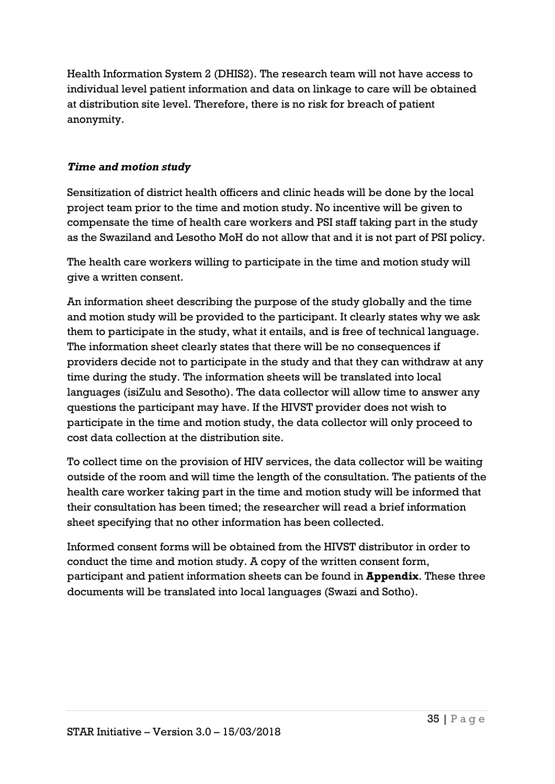Health Information System 2 (DHIS2). The research team will not have access to individual level patient information and data on linkage to care will be obtained at distribution site level. Therefore, there is no risk for breach of patient anonymity.

### *Time and motion study*

Sensitization of district health officers and clinic heads will be done by the local project team prior to the time and motion study. No incentive will be given to compensate the time of health care workers and PSI staff taking part in the study as the Swaziland and Lesotho MoH do not allow that and it is not part of PSI policy.

The health care workers willing to participate in the time and motion study will give a written consent.

An information sheet describing the purpose of the study globally and the time and motion study will be provided to the participant. It clearly states why we ask them to participate in the study, what it entails, and is free of technical language. The information sheet clearly states that there will be no consequences if providers decide not to participate in the study and that they can withdraw at any time during the study. The information sheets will be translated into local languages (isiZulu and Sesotho). The data collector will allow time to answer any questions the participant may have. If the HIVST provider does not wish to participate in the time and motion study, the data collector will only proceed to cost data collection at the distribution site.

To collect time on the provision of HIV services, the data collector will be waiting outside of the room and will time the length of the consultation. The patients of the health care worker taking part in the time and motion study will be informed that their consultation has been timed; the researcher will read a brief information sheet specifying that no other information has been collected.

Informed consent forms will be obtained from the HIVST distributor in order to conduct the time and motion study. A copy of the written consent form, participant and patient information sheets can be found in **Appendix**. These three documents will be translated into local languages (Swazi and Sotho).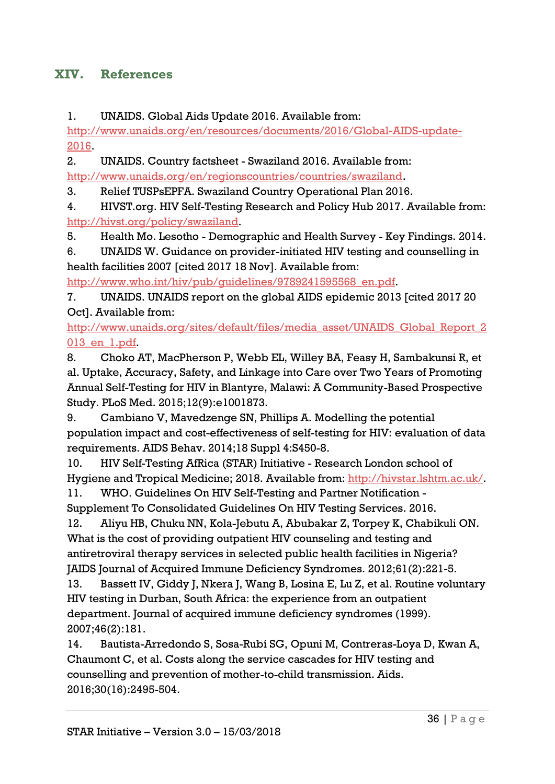# <span id="page-35-1"></span><span id="page-35-0"></span>**XIV. References**

<span id="page-35-2"></span>1. UNAIDS. Global Aids Update 2016. Available from:

<span id="page-35-3"></span>[http://www.unaids.org/en/resources/documents/2016/Global-AIDS-update-](http://www.unaids.org/en/resources/documents/2016/Global-AIDS-update-2016)[2016.](http://www.unaids.org/en/resources/documents/2016/Global-AIDS-update-2016)

<span id="page-35-4"></span>2. UNAIDS. Country factsheet - Swaziland 2016. Available from:

[http://www.unaids.org/en/regionscountries/countries/swaziland.](http://www.unaids.org/en/regionscountries/countries/swaziland)

<span id="page-35-5"></span>3. Relief TUSPsEPFA. Swaziland Country Operational Plan 2016.

<span id="page-35-6"></span>4. HIVST.org. HIV Self-Testing Research and Policy Hub 2017. Available from: [http://hivst.org/policy/swaziland.](http://hivst.org/policy/swaziland)

5. Health Mo. Lesotho - Demographic and Health Survey - Key Findings. 2014.

<span id="page-35-7"></span>6. UNAIDS W. Guidance on provider-initiated HIV testing and counselling in health facilities 2007 [cited 2017 18 Nov]. Available from: [http://www.who.int/hiv/pub/guidelines/9789241595568\\_en.pdf.](http://www.who.int/hiv/pub/guidelines/9789241595568_en.pdf)

<span id="page-35-8"></span>7. UNAIDS. UNAIDS report on the global AIDS epidemic 2013 [cited 2017 20 Oct]. Available from:

[http://www.unaids.org/sites/default/files/media\\_asset/UNAIDS\\_Global\\_Report\\_2](http://www.unaids.org/sites/default/files/media_asset/UNAIDS_Global_Report_2013_en_1.pdf) [013\\_en\\_1.pdf.](http://www.unaids.org/sites/default/files/media_asset/UNAIDS_Global_Report_2013_en_1.pdf)

<span id="page-35-9"></span>8. Choko AT, MacPherson P, Webb EL, Willey BA, Feasy H, Sambakunsi R, et al. Uptake, Accuracy, Safety, and Linkage into Care over Two Years of Promoting Annual Self-Testing for HIV in Blantyre, Malawi: A Community-Based Prospective Study. PLoS Med. 2015;12(9):e1001873.

<span id="page-35-10"></span>9. Cambiano V, Mavedzenge SN, Phillips A. Modelling the potential population impact and cost-effectiveness of self-testing for HIV: evaluation of data requirements. AIDS Behav. 2014;18 Suppl 4:S450-8.

<span id="page-35-12"></span><span id="page-35-11"></span>10. HIV Self-Testing AfRica (STAR) Initiative - Research London school of Hygiene and Tropical Medicine; 2018. Available from: [http://hivstar.lshtm.ac.uk/.](http://hivstar.lshtm.ac.uk/)

11. WHO. Guidelines On HIV Self-Testing and Partner Notification - Supplement To Consolidated Guidelines On HIV Testing Services. 2016.

12. Aliyu HB, Chuku NN, Kola-Jebutu A, Abubakar Z, Torpey K, Chabikuli ON. What is the cost of providing outpatient HIV counseling and testing and antiretroviral therapy services in selected public health facilities in Nigeria? JAIDS Journal of Acquired Immune Deficiency Syndromes. 2012;61(2):221-5.

13. Bassett IV, Giddy J, Nkera J, Wang B, Losina E, Lu Z, et al. Routine voluntary HIV testing in Durban, South Africa: the experience from an outpatient department. Journal of acquired immune deficiency syndromes (1999). 2007;46(2):181.

14. Bautista-Arredondo S, Sosa-Rubí SG, Opuni M, Contreras-Loya D, Kwan A, Chaumont C, et al. Costs along the service cascades for HIV testing and counselling and prevention of mother-to-child transmission. Aids. 2016;30(16):2495-504.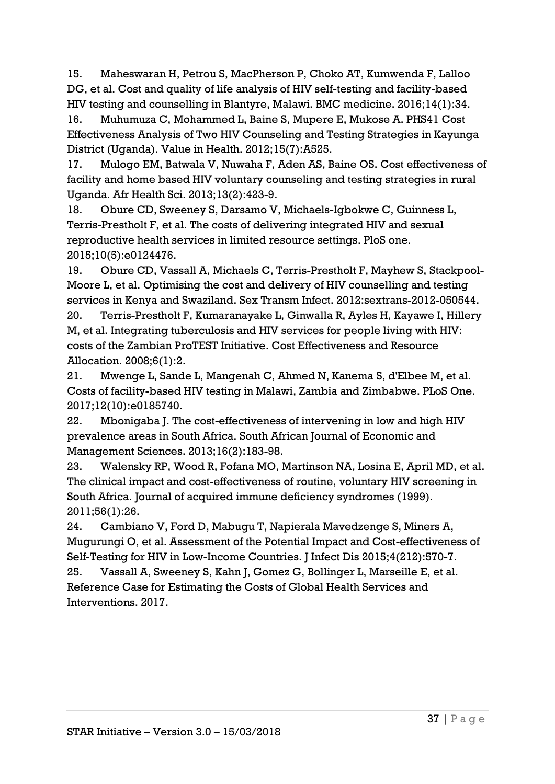<span id="page-36-2"></span>15. Maheswaran H, Petrou S, MacPherson P, Choko AT, Kumwenda F, Lalloo DG, et al. Cost and quality of life analysis of HIV self-testing and facility-based HIV testing and counselling in Blantyre, Malawi. BMC medicine. 2016;14(1):34.

16. Muhumuza C, Mohammed L, Baine S, Mupere E, Mukose A. PHS41 Cost Effectiveness Analysis of Two HIV Counseling and Testing Strategies in Kayunga District (Uganda). Value in Health. 2012;15(7):A525.

<span id="page-36-0"></span>17. Mulogo EM, Batwala V, Nuwaha F, Aden AS, Baine OS. Cost effectiveness of facility and home based HIV voluntary counseling and testing strategies in rural Uganda. Afr Health Sci. 2013;13(2):423-9.

18. Obure CD, Sweeney S, Darsamo V, Michaels-Igbokwe C, Guinness L, Terris-Prestholt F, et al. The costs of delivering integrated HIV and sexual reproductive health services in limited resource settings. PloS one. 2015;10(5):e0124476.

19. Obure CD, Vassall A, Michaels C, Terris-Prestholt F, Mayhew S, Stackpool-Moore L, et al. Optimising the cost and delivery of HIV counselling and testing services in Kenya and Swaziland. Sex Transm Infect. 2012:sextrans-2012-050544. 20. Terris-Prestholt F, Kumaranayake L, Ginwalla R, Ayles H, Kayawe I, Hillery M, et al. Integrating tuberculosis and HIV services for people living with HIV: costs of the Zambian ProTEST Initiative. Cost Effectiveness and Resource Allocation. 2008;6(1):2.

<span id="page-36-3"></span><span id="page-36-1"></span>21. Mwenge L, Sande L, Mangenah C, Ahmed N, Kanema S, d'Elbee M, et al. Costs of facility-based HIV testing in Malawi, Zambia and Zimbabwe. PLoS One. 2017;12(10):e0185740.

<span id="page-36-4"></span>22. Mbonigaba J. The cost-effectiveness of intervening in low and high HIV prevalence areas in South Africa. South African Journal of Economic and Management Sciences. 2013;16(2):183-98.

<span id="page-36-5"></span>23. Walensky RP, Wood R, Fofana MO, Martinson NA, Losina E, April MD, et al. The clinical impact and cost-effectiveness of routine, voluntary HIV screening in South Africa. Journal of acquired immune deficiency syndromes (1999). 2011;56(1):26.

<span id="page-36-6"></span>24. Cambiano V, Ford D, Mabugu T, Napierala Mavedzenge S, Miners A, Mugurungi O, et al. Assessment of the Potential Impact and Cost-effectiveness of Self-Testing for HIV in Low-Income Countries. J Infect Dis 2015;4(212):570-7.

25. Vassall A, Sweeney S, Kahn J, Gomez G, Bollinger L, Marseille E, et al. Reference Case for Estimating the Costs of Global Health Services and Interventions. 2017.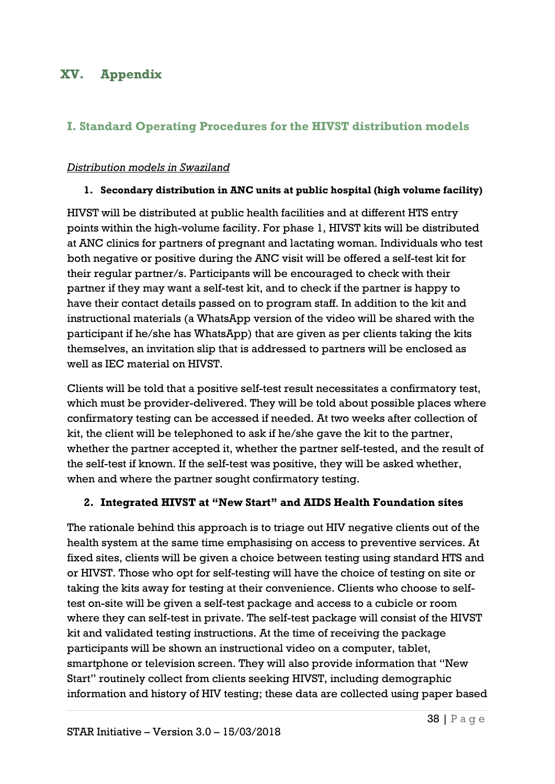# <span id="page-37-1"></span><span id="page-37-0"></span>**XV. Appendix**

# **I. Standard Operating Procedures for the HIVST distribution models**

#### *Distribution models in Swaziland*

#### **1. Secondary distribution in ANC units at public hospital (high volume facility)**

HIVST will be distributed at public health facilities and at different HTS entry points within the high-volume facility. For phase 1, HIVST kits will be distributed at ANC clinics for partners of pregnant and lactating woman. Individuals who test both negative or positive during the ANC visit will be offered a self-test kit for their regular partner/s. Participants will be encouraged to check with their partner if they may want a self-test kit, and to check if the partner is happy to have their contact details passed on to program staff. In addition to the kit and instructional materials (a WhatsApp version of the video will be shared with the participant if he/she has WhatsApp) that are given as per clients taking the kits themselves, an invitation slip that is addressed to partners will be enclosed as well as IEC material on HIVST.

Clients will be told that a positive self-test result necessitates a confirmatory test, which must be provider-delivered. They will be told about possible places where confirmatory testing can be accessed if needed. At two weeks after collection of kit, the client will be telephoned to ask if he/she gave the kit to the partner, whether the partner accepted it, whether the partner self-tested, and the result of the self-test if known. If the self-test was positive, they will be asked whether, when and where the partner sought confirmatory testing.

#### **2. Integrated HIVST at "New Start" and AIDS Health Foundation sites**

The rationale behind this approach is to triage out HIV negative clients out of the health system at the same time emphasising on access to preventive services. At fixed sites, clients will be given a choice between testing using standard HTS and or HIVST. Those who opt for self-testing will have the choice of testing on site or taking the kits away for testing at their convenience. Clients who choose to selftest on-site will be given a self-test package and access to a cubicle or room where they can self-test in private. The self-test package will consist of the HIVST kit and validated testing instructions. At the time of receiving the package participants will be shown an instructional video on a computer, tablet, smartphone or television screen. They will also provide information that "New Start" routinely collect from clients seeking HIVST, including demographic information and history of HIV testing; these data are collected using paper based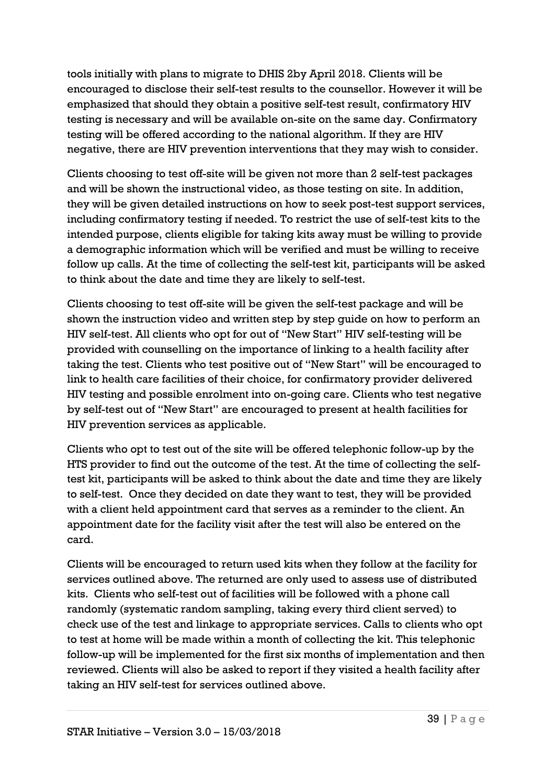tools initially with plans to migrate to DHIS 2by April 2018. Clients will be encouraged to disclose their self-test results to the counsellor. However it will be emphasized that should they obtain a positive self-test result, confirmatory HIV testing is necessary and will be available on-site on the same day. Confirmatory testing will be offered according to the national algorithm. If they are HIV negative, there are HIV prevention interventions that they may wish to consider.

Clients choosing to test off-site will be given not more than 2 self-test packages and will be shown the instructional video, as those testing on site. In addition, they will be given detailed instructions on how to seek post-test support services, including confirmatory testing if needed. To restrict the use of self-test kits to the intended purpose, clients eligible for taking kits away must be willing to provide a demographic information which will be verified and must be willing to receive follow up calls. At the time of collecting the self-test kit, participants will be asked to think about the date and time they are likely to self-test.

Clients choosing to test off-site will be given the self-test package and will be shown the instruction video and written step by step guide on how to perform an HIV self-test. All clients who opt for out of "New Start" HIV self-testing will be provided with counselling on the importance of linking to a health facility after taking the test. Clients who test positive out of "New Start" will be encouraged to link to health care facilities of their choice, for confirmatory provider delivered HIV testing and possible enrolment into on-going care. Clients who test negative by self-test out of "New Start" are encouraged to present at health facilities for HIV prevention services as applicable.

Clients who opt to test out of the site will be offered telephonic follow-up by the HTS provider to find out the outcome of the test. At the time of collecting the selftest kit, participants will be asked to think about the date and time they are likely to self-test. Once they decided on date they want to test, they will be provided with a client held appointment card that serves as a reminder to the client. An appointment date for the facility visit after the test will also be entered on the card.

Clients will be encouraged to return used kits when they follow at the facility for services outlined above. The returned are only used to assess use of distributed kits. Clients who self-test out of facilities will be followed with a phone call randomly (systematic random sampling, taking every third client served) to check use of the test and linkage to appropriate services. Calls to clients who opt to test at home will be made within a month of collecting the kit. This telephonic follow-up will be implemented for the first six months of implementation and then reviewed. Clients will also be asked to report if they visited a health facility after taking an HIV self-test for services outlined above.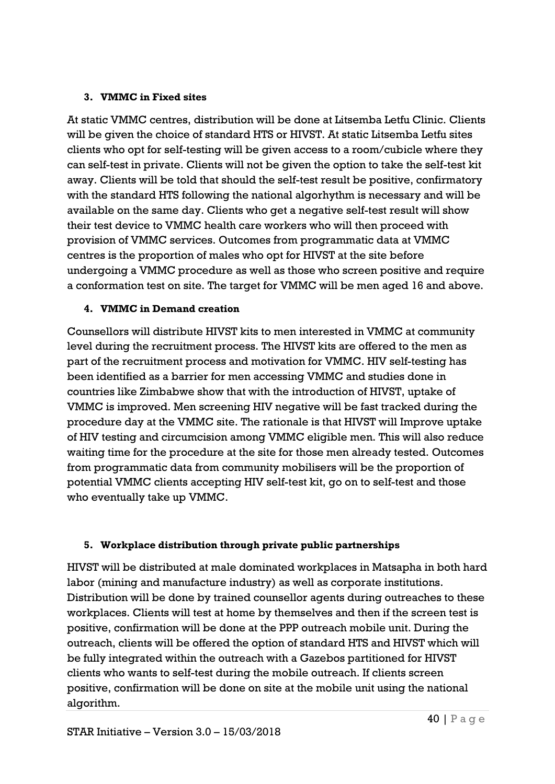#### **3. VMMC in Fixed sites**

At static VMMC centres, distribution will be done at Litsemba Letfu Clinic. Clients will be given the choice of standard HTS or HIVST. At static Litsemba Letfu sites clients who opt for self-testing will be given access to a room/cubicle where they can self-test in private. Clients will not be given the option to take the self-test kit away. Clients will be told that should the self-test result be positive, confirmatory with the standard HTS following the national algorhythm is necessary and will be available on the same day. Clients who get a negative self-test result will show their test device to VMMC health care workers who will then proceed with provision of VMMC services. Outcomes from programmatic data at VMMC centres is the proportion of males who opt for HIVST at the site before undergoing a VMMC procedure as well as those who screen positive and require a conformation test on site. The target for VMMC will be men aged 16 and above.

### **4. VMMC in Demand creation**

Counsellors will distribute HIVST kits to men interested in VMMC at community level during the recruitment process. The HIVST kits are offered to the men as part of the recruitment process and motivation for VMMC. HIV self-testing has been identified as a barrier for men accessing VMMC and studies done in countries like Zimbabwe show that with the introduction of HIVST, uptake of VMMC is improved. Men screening HIV negative will be fast tracked during the procedure day at the VMMC site. The rationale is that HIVST will Improve uptake of HIV testing and circumcision among VMMC eligible men. This will also reduce waiting time for the procedure at the site for those men already tested. Outcomes from programmatic data from community mobilisers will be the proportion of potential VMMC clients accepting HIV self-test kit, go on to self-test and those who eventually take up VMMC.

### **5. Workplace distribution through private public partnerships**

HIVST will be distributed at male dominated workplaces in Matsapha in both hard labor (mining and manufacture industry) as well as corporate institutions. Distribution will be done by trained counsellor agents during outreaches to these workplaces. Clients will test at home by themselves and then if the screen test is positive, confirmation will be done at the PPP outreach mobile unit. During the outreach, clients will be offered the option of standard HTS and HIVST which will be fully integrated within the outreach with a Gazebos partitioned for HIVST clients who wants to self-test during the mobile outreach. If clients screen positive, confirmation will be done on site at the mobile unit using the national algorithm.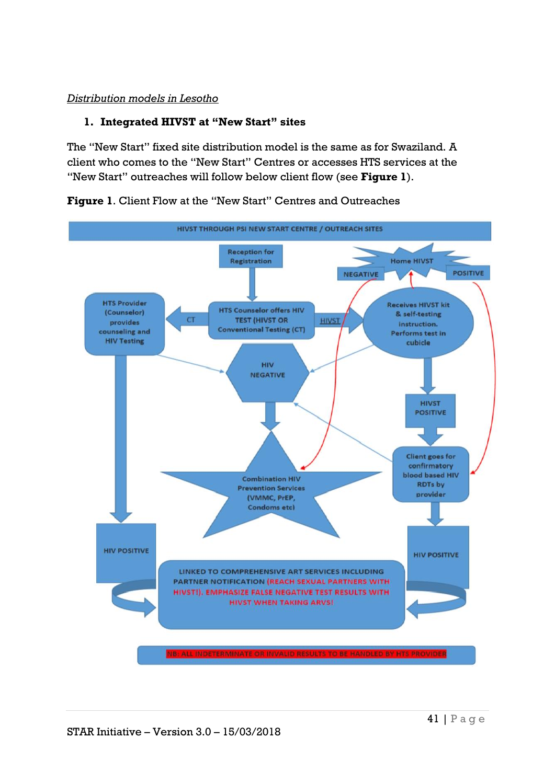#### *Distribution models in Lesotho*

#### **1. Integrated HIVST at "New Start" sites**

The "New Start" fixed site distribution model is the same as for Swaziland. A client who comes to the "New Start" Centres or accesses HTS services at the "New Start" outreaches will follow below client flow (see **Figure 1**).



**Figure 1**. Client Flow at the "New Start" Centres and Outreaches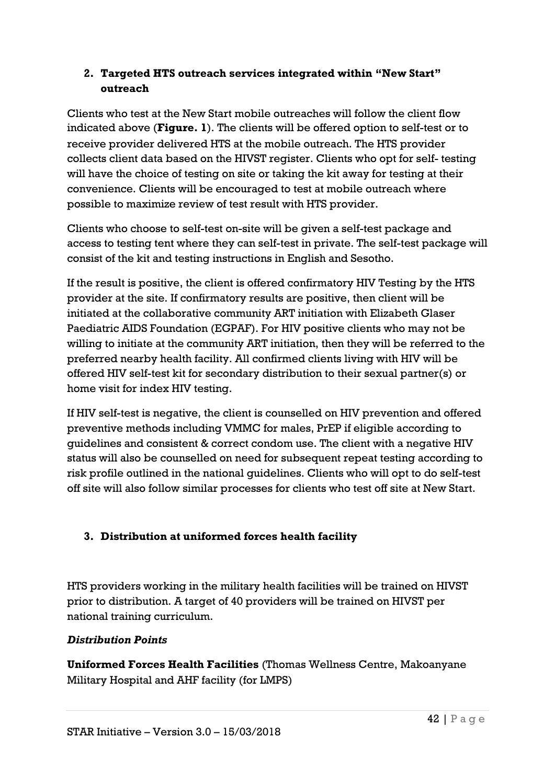## **2. Targeted HTS outreach services integrated within "New Start" outreach**

Clients who test at the New Start mobile outreaches will follow the client flow indicated above (**Figure. 1**). The clients will be offered option to self-test or to receive provider delivered HTS at the mobile outreach. The HTS provider collects client data based on the HIVST register. Clients who opt for self- testing will have the choice of testing on site or taking the kit away for testing at their convenience. Clients will be encouraged to test at mobile outreach where possible to maximize review of test result with HTS provider.

Clients who choose to self-test on-site will be given a self-test package and access to testing tent where they can self-test in private. The self-test package will consist of the kit and testing instructions in English and Sesotho.

If the result is positive, the client is offered confirmatory HIV Testing by the HTS provider at the site. If confirmatory results are positive, then client will be initiated at the collaborative community ART initiation with Elizabeth Glaser Paediatric AIDS Foundation (EGPAF). For HIV positive clients who may not be willing to initiate at the community ART initiation, then they will be referred to the preferred nearby health facility. All confirmed clients living with HIV will be offered HIV self-test kit for secondary distribution to their sexual partner(s) or home visit for index HIV testing.

If HIV self-test is negative, the client is counselled on HIV prevention and offered preventive methods including VMMC for males, PrEP if eligible according to guidelines and consistent & correct condom use. The client with a negative HIV status will also be counselled on need for subsequent repeat testing according to risk profile outlined in the national guidelines. Clients who will opt to do self-test off site will also follow similar processes for clients who test off site at New Start.

# **3. Distribution at uniformed forces health facility**

HTS providers working in the military health facilities will be trained on HIVST prior to distribution. A target of 40 providers will be trained on HIVST per national training curriculum.

# *Distribution Points*

**Uniformed Forces Health Facilities** (Thomas Wellness Centre, Makoanyane Military Hospital and AHF facility (for LMPS)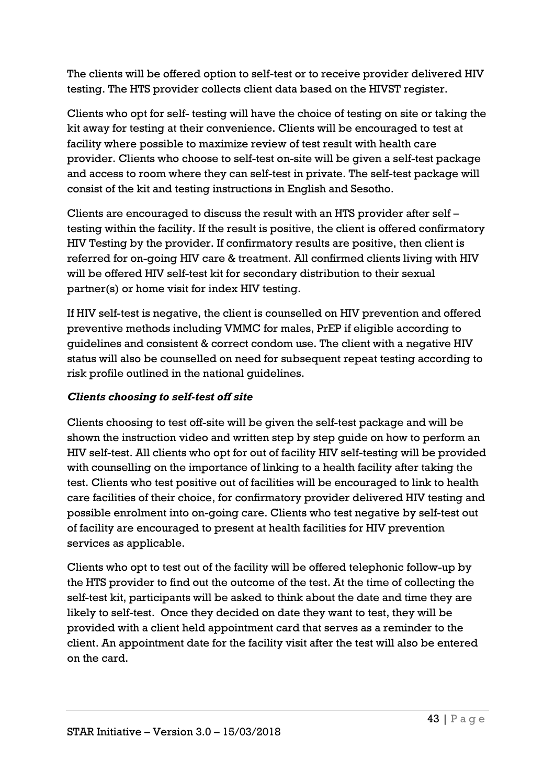The clients will be offered option to self-test or to receive provider delivered HIV testing. The HTS provider collects client data based on the HIVST register.

Clients who opt for self- testing will have the choice of testing on site or taking the kit away for testing at their convenience. Clients will be encouraged to test at facility where possible to maximize review of test result with health care provider. Clients who choose to self-test on-site will be given a self-test package and access to room where they can self-test in private. The self-test package will consist of the kit and testing instructions in English and Sesotho.

Clients are encouraged to discuss the result with an HTS provider after self – testing within the facility. If the result is positive, the client is offered confirmatory HIV Testing by the provider. If confirmatory results are positive, then client is referred for on-going HIV care & treatment. All confirmed clients living with HIV will be offered HIV self-test kit for secondary distribution to their sexual partner(s) or home visit for index HIV testing.

If HIV self-test is negative, the client is counselled on HIV prevention and offered preventive methods including VMMC for males, PrEP if eligible according to guidelines and consistent & correct condom use. The client with a negative HIV status will also be counselled on need for subsequent repeat testing according to risk profile outlined in the national guidelines.

### *Clients choosing to self-test off site*

Clients choosing to test off-site will be given the self-test package and will be shown the instruction video and written step by step guide on how to perform an HIV self-test. All clients who opt for out of facility HIV self-testing will be provided with counselling on the importance of linking to a health facility after taking the test. Clients who test positive out of facilities will be encouraged to link to health care facilities of their choice, for confirmatory provider delivered HIV testing and possible enrolment into on-going care. Clients who test negative by self-test out of facility are encouraged to present at health facilities for HIV prevention services as applicable.

Clients who opt to test out of the facility will be offered telephonic follow-up by the HTS provider to find out the outcome of the test. At the time of collecting the self-test kit, participants will be asked to think about the date and time they are likely to self-test. Once they decided on date they want to test, they will be provided with a client held appointment card that serves as a reminder to the client. An appointment date for the facility visit after the test will also be entered on the card.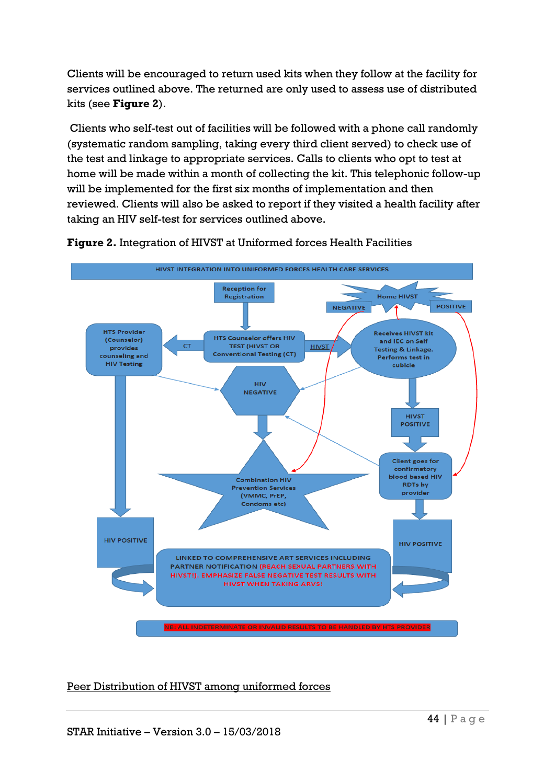Clients will be encouraged to return used kits when they follow at the facility for services outlined above. The returned are only used to assess use of distributed kits (see **Figure 2**).

Clients who self-test out of facilities will be followed with a phone call randomly (systematic random sampling, taking every third client served) to check use of the test and linkage to appropriate services. Calls to clients who opt to test at home will be made within a month of collecting the kit. This telephonic follow-up will be implemented for the first six months of implementation and then reviewed. Clients will also be asked to report if they visited a health facility after taking an HIV self-test for services outlined above.



**Figure 2.** Integration of HIVST at Uniformed forces Health Facilities

Peer Distribution of HIVST among uniformed forces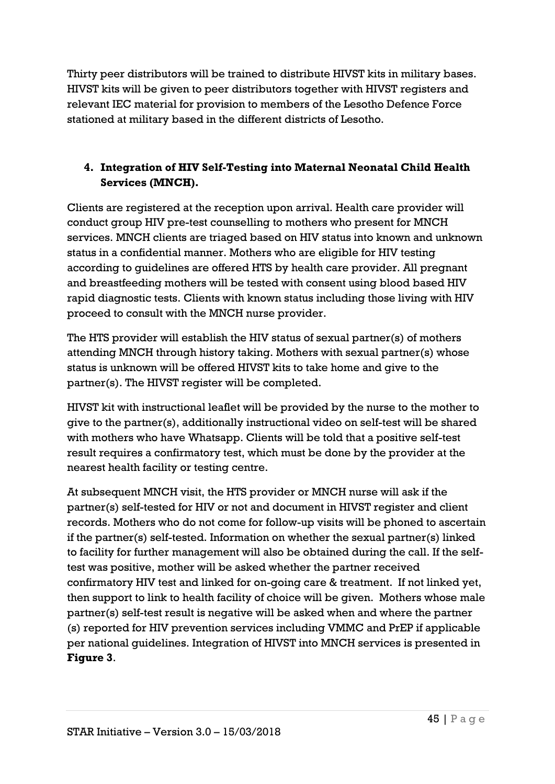Thirty peer distributors will be trained to distribute HIVST kits in military bases. HIVST kits will be given to peer distributors together with HIVST registers and relevant IEC material for provision to members of the Lesotho Defence Force stationed at military based in the different districts of Lesotho.

# **4. Integration of HIV Self-Testing into Maternal Neonatal Child Health Services (MNCH).**

Clients are registered at the reception upon arrival. Health care provider will conduct group HIV pre-test counselling to mothers who present for MNCH services. MNCH clients are triaged based on HIV status into known and unknown status in a confidential manner. Mothers who are eligible for HIV testing according to guidelines are offered HTS by health care provider. All pregnant and breastfeeding mothers will be tested with consent using blood based HIV rapid diagnostic tests. Clients with known status including those living with HIV proceed to consult with the MNCH nurse provider.

The HTS provider will establish the HIV status of sexual partner(s) of mothers attending MNCH through history taking. Mothers with sexual partner(s) whose status is unknown will be offered HIVST kits to take home and give to the partner(s). The HIVST register will be completed.

HIVST kit with instructional leaflet will be provided by the nurse to the mother to give to the partner(s), additionally instructional video on self-test will be shared with mothers who have Whatsapp. Clients will be told that a positive self-test result requires a confirmatory test, which must be done by the provider at the nearest health facility or testing centre.

At subsequent MNCH visit, the HTS provider or MNCH nurse will ask if the partner(s) self-tested for HIV or not and document in HIVST register and client records. Mothers who do not come for follow-up visits will be phoned to ascertain if the partner(s) self-tested. Information on whether the sexual partner(s) linked to facility for further management will also be obtained during the call. If the selftest was positive, mother will be asked whether the partner received confirmatory HIV test and linked for on-going care & treatment. If not linked yet, then support to link to health facility of choice will be given. Mothers whose male partner(s) self-test result is negative will be asked when and where the partner (s) reported for HIV prevention services including VMMC and PrEP if applicable per national guidelines. Integration of HIVST into MNCH services is presented in **Figure 3**.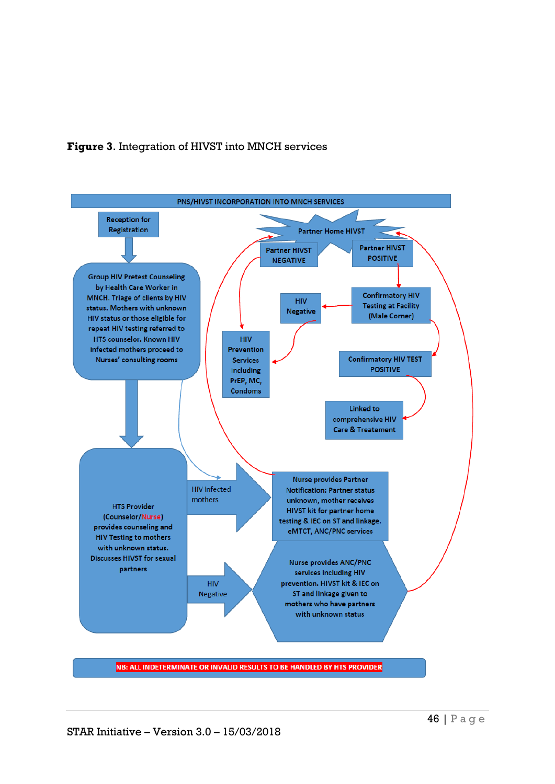



NB: ALL INDETERMINATE OR INVALID RESULTS TO BE HANDLED BY HTS PROVIDER

STAR Initiative – Version 3.0 – 15/03/2018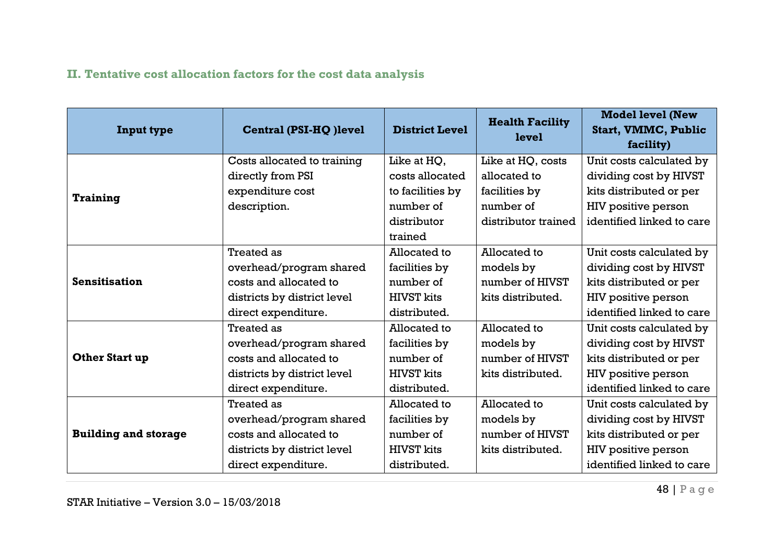# **II. Tentative cost allocation factors for the cost data analysis**

<span id="page-47-0"></span>

| <b>Input type</b>           | Central (PSI-HQ) level      | <b>District Level</b> | <b>Health Facility</b><br>level | <b>Model level (New</b><br><b>Start, VMMC, Public</b><br>facility) |
|-----------------------------|-----------------------------|-----------------------|---------------------------------|--------------------------------------------------------------------|
|                             | Costs allocated to training | Like at HQ,           | Like at HQ, costs               | Unit costs calculated by                                           |
|                             | directly from PSI           | costs allocated       | allocated to                    | dividing cost by HIVST                                             |
| <b>Training</b>             | expenditure cost            | to facilities by      | facilities by                   | kits distributed or per                                            |
|                             | description.                | number of             | number of                       | HIV positive person                                                |
|                             |                             | distributor           | distributor trained             | identified linked to care                                          |
|                             |                             | trained               |                                 |                                                                    |
|                             | <b>Treated as</b>           | Allocated to          | Allocated to                    | Unit costs calculated by                                           |
|                             | overhead/program shared     | facilities by         | models by                       | dividing cost by HIVST                                             |
| <b>Sensitisation</b>        | costs and allocated to      | number of             | number of HIVST                 | kits distributed or per                                            |
|                             | districts by district level | <b>HIVST</b> kits     | kits distributed.               | HIV positive person                                                |
|                             | direct expenditure.         | distributed.          |                                 | identified linked to care                                          |
|                             | <b>Treated as</b>           | Allocated to          | Allocated to                    | Unit costs calculated by                                           |
|                             | overhead/program shared     | facilities by         | models by                       | dividing cost by HIVST                                             |
| Other Start up              | costs and allocated to      | number of             | number of HIVST                 | kits distributed or per                                            |
|                             | districts by district level | <b>HIVST</b> kits     | kits distributed.               | HIV positive person                                                |
|                             | direct expenditure.         | distributed.          |                                 | identified linked to care                                          |
|                             | <b>Treated as</b>           | Allocated to          | Allocated to                    | Unit costs calculated by                                           |
|                             | overhead/program shared     | facilities by         | models by                       | dividing cost by HIVST                                             |
| <b>Building and storage</b> | costs and allocated to      | number of             | number of HIVST                 | kits distributed or per                                            |
|                             | districts by district level | <b>HIVST</b> kits     | kits distributed.               | HIV positive person                                                |
|                             | direct expenditure.         | distributed.          |                                 | identified linked to care                                          |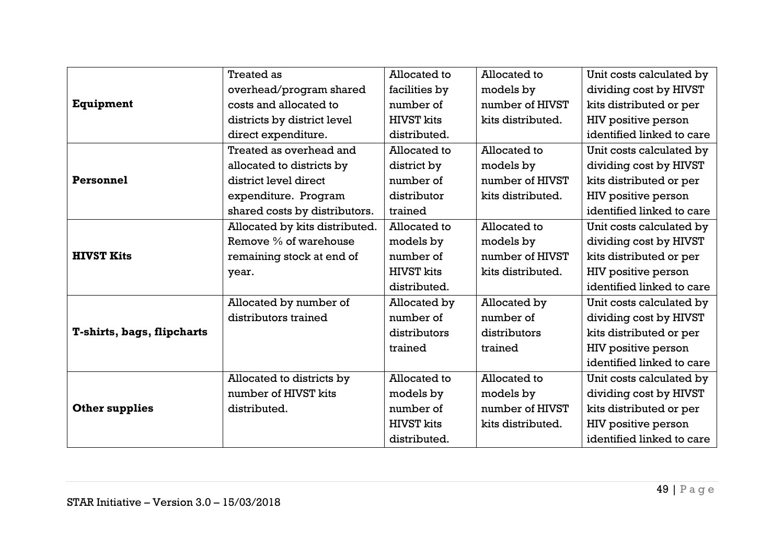|                                   | <b>Treated as</b>              | Allocated to      | Allocated to      | Unit costs calculated by  |  |  |
|-----------------------------------|--------------------------------|-------------------|-------------------|---------------------------|--|--|
|                                   | overhead/program shared        | facilities by     | models by         | dividing cost by HIVST    |  |  |
| Equipment                         | costs and allocated to         | number of         | number of HIVST   | kits distributed or per   |  |  |
|                                   | districts by district level    | <b>HIVST</b> kits | kits distributed. | HIV positive person       |  |  |
|                                   | direct expenditure.            | distributed.      |                   | identified linked to care |  |  |
|                                   | Treated as overhead and        | Allocated to      | Allocated to      | Unit costs calculated by  |  |  |
|                                   | allocated to districts by      | district by       | models by         | dividing cost by HIVST    |  |  |
| Personnel                         | district level direct          | number of         | number of HIVST   | kits distributed or per   |  |  |
|                                   | expenditure. Program           | distributor       | kits distributed. | HIV positive person       |  |  |
|                                   | shared costs by distributors.  | trained           |                   | identified linked to care |  |  |
|                                   | Allocated by kits distributed. | Allocated to      | Allocated to      | Unit costs calculated by  |  |  |
| <b>HIVST Kits</b>                 | Remove % of warehouse          | models by         | models by         | dividing cost by HIVST    |  |  |
|                                   | remaining stock at end of      | number of         | number of HIVST   | kits distributed or per   |  |  |
|                                   | year.                          | <b>HIVST</b> kits | kits distributed. | HIV positive person       |  |  |
|                                   |                                | distributed.      |                   | identified linked to care |  |  |
|                                   | Allocated by number of         | Allocated by      | Allocated by      | Unit costs calculated by  |  |  |
|                                   | distributors trained           | number of         | number of         | dividing cost by HIVST    |  |  |
| <b>T-shirts, bags, flipcharts</b> |                                | distributors      | distributors      | kits distributed or per   |  |  |
|                                   |                                | trained           | trained           | HIV positive person       |  |  |
|                                   |                                |                   |                   | identified linked to care |  |  |
|                                   | Allocated to districts by      | Allocated to      | Allocated to      | Unit costs calculated by  |  |  |
|                                   | number of HIVST kits           | models by         | models by         | dividing cost by HIVST    |  |  |
| <b>Other supplies</b>             | distributed.                   | number of         | number of HIVST   | kits distributed or per   |  |  |
|                                   |                                | <b>HIVST</b> kits | kits distributed. | HIV positive person       |  |  |
|                                   |                                | distributed.      |                   | identified linked to care |  |  |